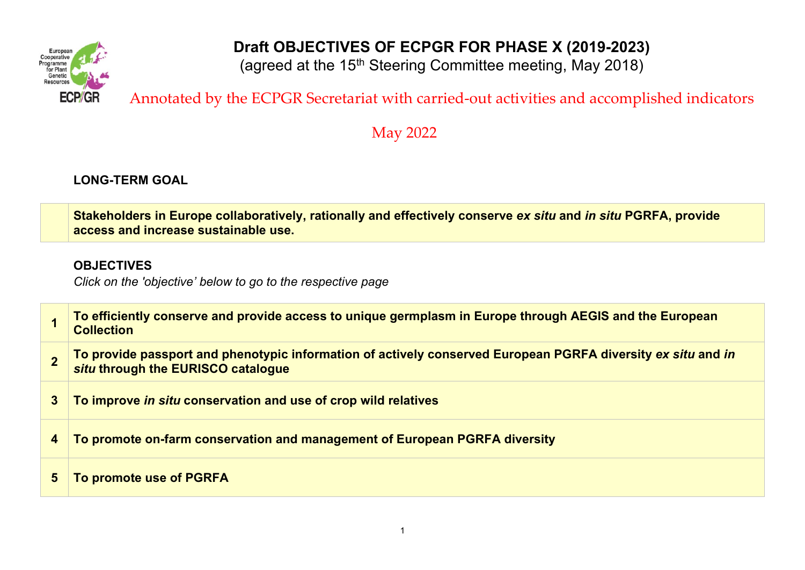

# **Draft OBJECTIVES OF ECPGR FOR PHASE X (2019-2023)**

(agreed at the 15<sup>th</sup> Steering Committee meeting, May 2018)

# Annotated by the ECPGR Secretariat with carried-out activities and accomplished indicators

May 2022

## **LONG-TERM GOAL**

**Stakeholders in Europe collaboratively, rationally and effectively conserve** *ex situ* **and** *in situ* **PGRFA, provide access and increase sustainable use.** 

## **OBJECTIVES**

*Click on the 'objective' below to go to the respective page*

|   | To efficiently conserve and provide access to unique germplasm in Europe through AEGIS and the European<br><b>Collection</b>                       |
|---|----------------------------------------------------------------------------------------------------------------------------------------------------|
|   | To provide passport and phenotypic information of actively conserved European PGRFA diversity ex situ and in<br>situ through the EURISCO catalogue |
| 3 | To improve in situ conservation and use of crop wild relatives                                                                                     |
| 4 | To promote on-farm conservation and management of European PGRFA diversity                                                                         |
| 5 | To promote use of PGRFA                                                                                                                            |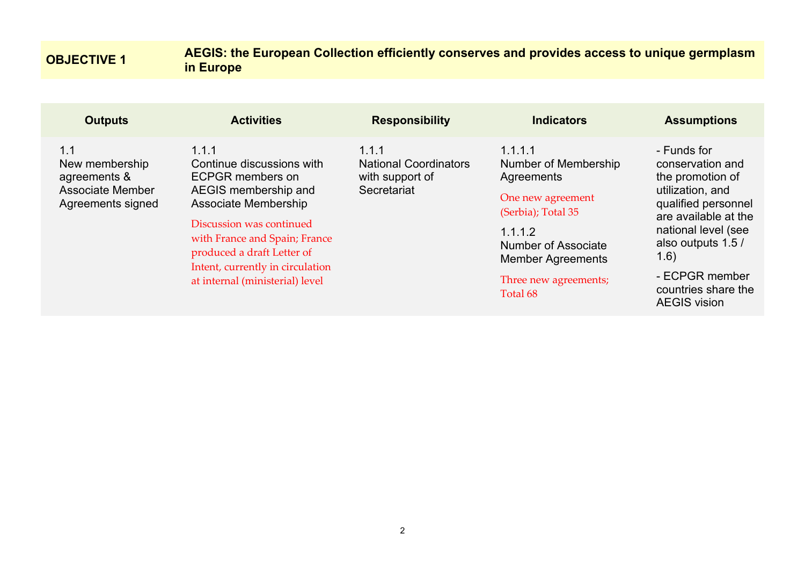## <span id="page-1-0"></span>**OBJECTIVE 1 AEGIS: the European Collection efficiently conserves and provides access to unique germplasm in Europe**

| <b>Outputs</b>                                                                        | <b>Activities</b>                                                                                                                                                                                                                                                               | <b>Responsibility</b>                                                   | <b>Indicators</b>                                                                                                                                                                                  | <b>Assumptions</b>                                                                                                                                                                                                                           |
|---------------------------------------------------------------------------------------|---------------------------------------------------------------------------------------------------------------------------------------------------------------------------------------------------------------------------------------------------------------------------------|-------------------------------------------------------------------------|----------------------------------------------------------------------------------------------------------------------------------------------------------------------------------------------------|----------------------------------------------------------------------------------------------------------------------------------------------------------------------------------------------------------------------------------------------|
| 1.1<br>New membership<br>agreements &<br><b>Associate Member</b><br>Agreements signed | 1.1.1<br>Continue discussions with<br><b>ECPGR</b> members on<br>AEGIS membership and<br>Associate Membership<br>Discussion was continued<br>with France and Spain; France<br>produced a draft Letter of<br>Intent, currently in circulation<br>at internal (ministerial) level | 1.1.1<br><b>National Coordinators</b><br>with support of<br>Secretariat | 1.1.1.1<br>Number of Membership<br>Agreements<br>One new agreement<br>(Serbia); Total 35<br>1.1.1.2<br><b>Number of Associate</b><br><b>Member Agreements</b><br>Three new agreements;<br>Total 68 | - Funds for<br>conservation and<br>the promotion of<br>utilization, and<br>qualified personnel<br>are available at the<br>national level (see<br>also outputs 1.5 /<br>(1.6)<br>- ECPGR member<br>countries share the<br><b>AEGIS vision</b> |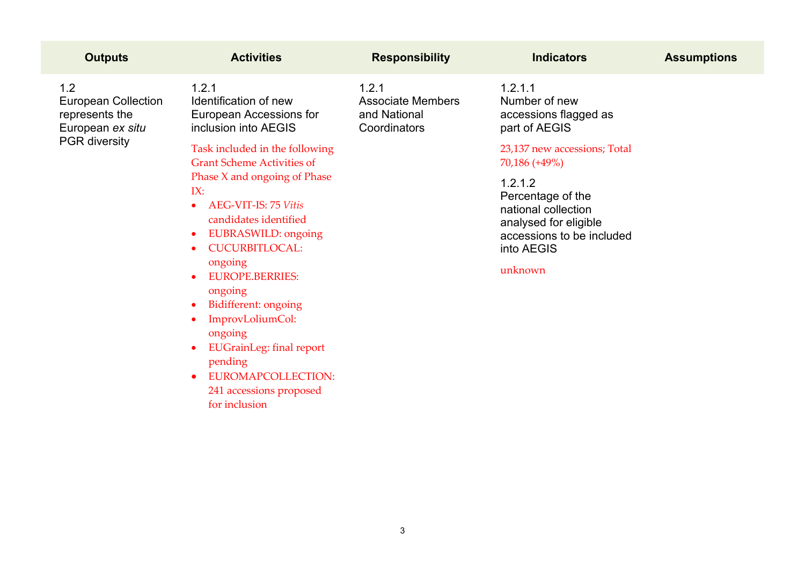| <b>Activities</b>                                                                                                                                                                                                                                                                                                                                                                                                                                            | <b>Responsibility</b>                                             | <b>Indicators</b>                                                                                                                  | <b>Assumptions</b> |
|--------------------------------------------------------------------------------------------------------------------------------------------------------------------------------------------------------------------------------------------------------------------------------------------------------------------------------------------------------------------------------------------------------------------------------------------------------------|-------------------------------------------------------------------|------------------------------------------------------------------------------------------------------------------------------------|--------------------|
| 1.2.1<br>Identification of new<br>European Accessions for<br>inclusion into AEGIS                                                                                                                                                                                                                                                                                                                                                                            | 1.2.1<br><b>Associate Members</b><br>and National<br>Coordinators | 1.2.1.1<br>Number of new<br>accessions flagged as<br>part of AEGIS                                                                 |                    |
| Task included in the following<br><b>Grant Scheme Activities of</b>                                                                                                                                                                                                                                                                                                                                                                                          |                                                                   | 23,137 new accessions; Total<br>70,186 (+49%)                                                                                      |                    |
| Phase X and ongoing of Phase<br>IX:<br><b>AEG-VIT-IS: 75 Vitis</b><br>candidates identified<br>EUBRASWILD: ongoing<br>۰<br><b>CUCURBITLOCAL:</b><br>$\bullet$<br>ongoing<br><b>EUROPE.BERRIES:</b><br>$\bullet$<br>ongoing<br>Bidifferent: ongoing<br>$\bullet$<br>ImprovLoliumCol:<br>$\bullet$<br>ongoing<br><b>EUGrainLeg:</b> final report<br>$\bullet$<br>pending<br><b>EUROMAPCOLLECTION:</b><br>$\bullet$<br>241 accessions proposed<br>for inclusion |                                                                   | 1.2.1.2<br>Percentage of the<br>national collection<br>analysed for eligible<br>accessions to be included<br>into AEGIS<br>unknown |                    |
|                                                                                                                                                                                                                                                                                                                                                                                                                                                              |                                                                   |                                                                                                                                    |                    |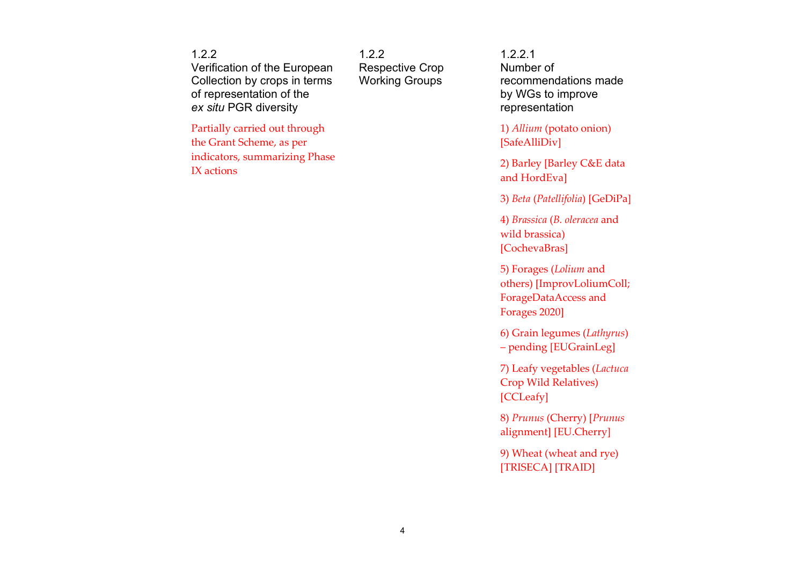1.2.2 Verification of the European Collection by crops in terms of representation of the *ex situ* PGR diversity

Partially carried out through the Grant Scheme, as per indicators, summarizing Phase IX actions

122 Respective Crop Working Groups

1.2.2.1 Number of recommendations made by WGs to improve representation

1) *Allium* (potato onion) [SafeAlliDiv]

2) Barley [Barley C&E data and HordEva]

3) *Beta* (*Patellifolia*) [GeDiPa]

4) *Brassica* (*B. oleracea* and wild brassica) [CochevaBras]

5) Forages (*Lolium* and others) [ImprovLoliumColl; ForageDataAccess and Forages 2020]

6) Grain legumes (*Lathyrus*) – pending [EUGrainLeg]

7) Leafy vegetables (*Lactuca* Crop Wild Relatives) [CCLeafy]

8) *Prunus* (Cherry) [*Prunus* alignment] [EU.Cherry]

9) Wheat (wheat and rye) [TRISECA] [TRAID]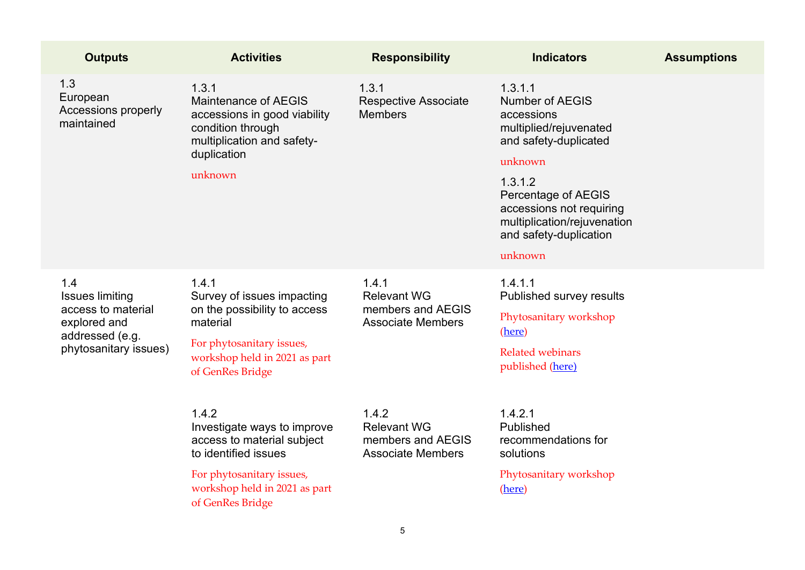| <b>Outputs</b>                                                                                                  | <b>Activities</b>                                                                                                                                                            | <b>Responsibility</b>                                                        | <b>Indicators</b>                                                                                                                                                                                                                               | <b>Assumptions</b> |
|-----------------------------------------------------------------------------------------------------------------|------------------------------------------------------------------------------------------------------------------------------------------------------------------------------|------------------------------------------------------------------------------|-------------------------------------------------------------------------------------------------------------------------------------------------------------------------------------------------------------------------------------------------|--------------------|
| 1.3<br>European<br>Accessions properly<br>maintained                                                            | 1.3.1<br><b>Maintenance of AEGIS</b><br>accessions in good viability<br>condition through<br>multiplication and safety-<br>duplication<br>unknown                            | 1.3.1<br><b>Respective Associate</b><br><b>Members</b>                       | 1.3.1.1<br><b>Number of AEGIS</b><br>accessions<br>multiplied/rejuvenated<br>and safety-duplicated<br>unknown<br>1.3.1.2<br>Percentage of AEGIS<br>accessions not requiring<br>multiplication/rejuvenation<br>and safety-duplication<br>unknown |                    |
| 1.4<br><b>Issues limiting</b><br>access to material<br>explored and<br>addressed (e.g.<br>phytosanitary issues) | 1.4.1<br>Survey of issues impacting<br>on the possibility to access<br>material<br>For phytosanitary issues,<br>workshop held in 2021 as part<br>of GenRes Bridge            | 1.4.1<br><b>Relevant WG</b><br>members and AEGIS<br><b>Associate Members</b> | 1.4.1.1<br>Published survey results<br>Phytosanitary workshop<br>(here)<br><b>Related webinars</b><br>published (here)                                                                                                                          |                    |
|                                                                                                                 | 1.4.2<br>Investigate ways to improve<br>access to material subject<br>to identified issues<br>For phytosanitary issues,<br>workshop held in 2021 as part<br>of GenRes Bridge | 1.4.2<br><b>Relevant WG</b><br>members and AEGIS<br><b>Associate Members</b> | 1.4.2.1<br>Published<br>recommendations for<br>solutions<br>Phytosanitary workshop<br>(here)                                                                                                                                                    |                    |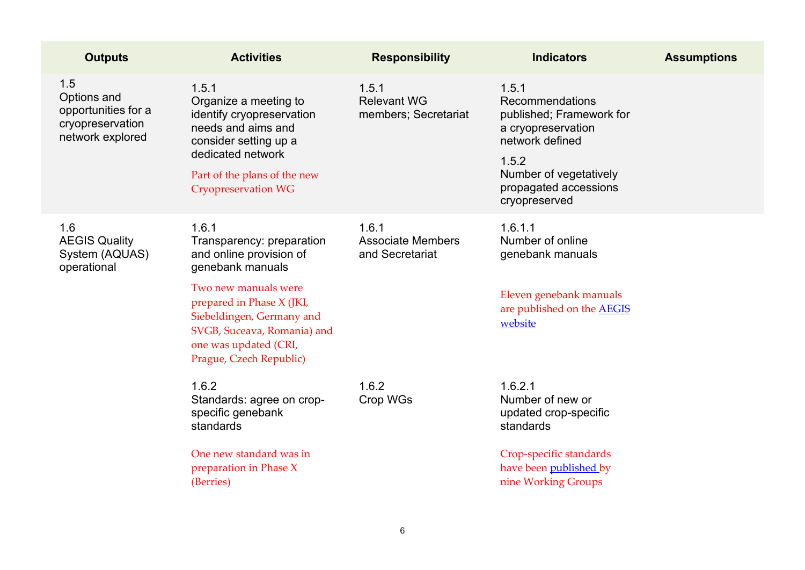| <b>Outputs</b>                                                                    | <b>Activities</b>                                                                                                                                                                                                                                      | <b>Responsibility</b>                                | <b>Indicators</b>                                                                                                                                                          | <b>Assumptions</b> |
|-----------------------------------------------------------------------------------|--------------------------------------------------------------------------------------------------------------------------------------------------------------------------------------------------------------------------------------------------------|------------------------------------------------------|----------------------------------------------------------------------------------------------------------------------------------------------------------------------------|--------------------|
| 1.5<br>Options and<br>opportunities for a<br>cryopreservation<br>network explored | 1.5.1<br>Organize a meeting to<br>identify cryopreservation<br>needs and aims and<br>consider setting up a<br>dedicated network<br>Part of the plans of the new<br><b>Cryopreservation WG</b>                                                          | 1.5.1<br><b>Relevant WG</b><br>members; Secretariat  | 1.5.1<br>Recommendations<br>published; Framework for<br>a cryopreservation<br>network defined<br>1.5.2<br>Number of vegetatively<br>propagated accessions<br>cryopreserved |                    |
| 1.6<br><b>AEGIS Quality</b><br>System (AQUAS)<br>operational                      | 1.6.1<br>Transparency: preparation<br>and online provision of<br>genebank manuals<br>Two new manuals were<br>prepared in Phase X (JKI,<br>Siebeldingen, Germany and<br>SVGB, Suceava, Romania) and<br>one was updated (CRI,<br>Prague, Czech Republic) | 1.6.1<br><b>Associate Members</b><br>and Secretariat | 1.6.1.1<br>Number of online<br>genebank manuals<br>Eleven genebank manuals<br>are published on the <b>AEGIS</b><br>website                                                 |                    |
|                                                                                   | 1.6.2<br>Standards: agree on crop-<br>specific genebank<br>standards<br>One new standard was in<br>preparation in Phase X<br>(Berries)                                                                                                                 | 1.6.2<br>Crop WGs                                    | 1.6.2.1<br>Number of new or<br>updated crop-specific<br>standards<br>Crop-specific standards<br>have been published by<br>nine Working Groups                              |                    |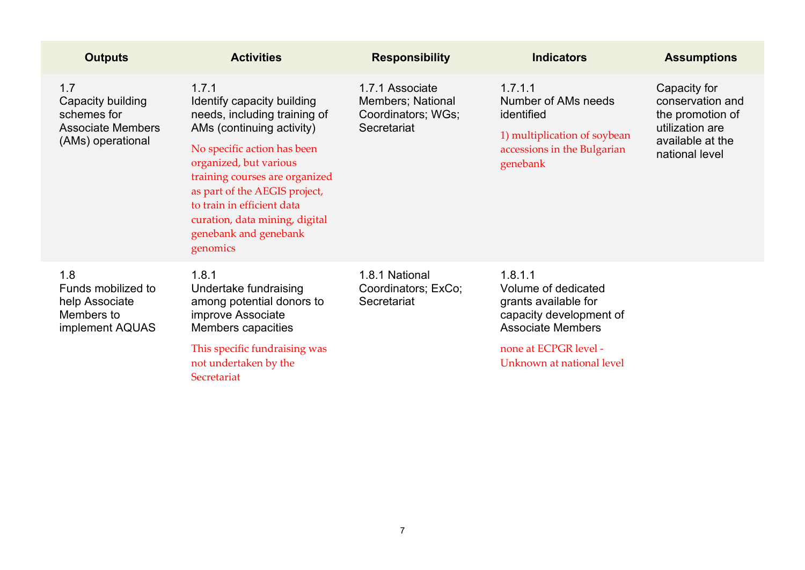| <b>Outputs</b>                                                                           | <b>Activities</b>                                                                                                                                                                                                                                                                                                                 | <b>Responsibility</b>                                                     | <b>Indicators</b>                                                                                                                                                   | <b>Assumptions</b>                                                                                            |
|------------------------------------------------------------------------------------------|-----------------------------------------------------------------------------------------------------------------------------------------------------------------------------------------------------------------------------------------------------------------------------------------------------------------------------------|---------------------------------------------------------------------------|---------------------------------------------------------------------------------------------------------------------------------------------------------------------|---------------------------------------------------------------------------------------------------------------|
| 1.7<br>Capacity building<br>schemes for<br><b>Associate Members</b><br>(AMs) operational | 1.7.1<br>Identify capacity building<br>needs, including training of<br>AMs (continuing activity)<br>No specific action has been<br>organized, but various<br>training courses are organized<br>as part of the AEGIS project,<br>to train in efficient data<br>curation, data mining, digital<br>genebank and genebank<br>genomics | 1.7.1 Associate<br>Members; National<br>Coordinators; WGs;<br>Secretariat | 1.7.1.1<br>Number of AMs needs<br>identified<br>1) multiplication of soybean<br>accessions in the Bulgarian<br>genebank                                             | Capacity for<br>conservation and<br>the promotion of<br>utilization are<br>available at the<br>national level |
| 1.8<br>Funds mobilized to<br>help Associate<br>Members to<br>implement AQUAS             | 1.8.1<br>Undertake fundraising<br>among potential donors to<br>improve Associate<br>Members capacities<br>This specific fundraising was<br>not undertaken by the<br>Secretariat                                                                                                                                                   | 1.8.1 National<br>Coordinators; ExCo;<br>Secretariat                      | 1.8.1.1<br>Volume of dedicated<br>grants available for<br>capacity development of<br><b>Associate Members</b><br>none at ECPGR level -<br>Unknown at national level |                                                                                                               |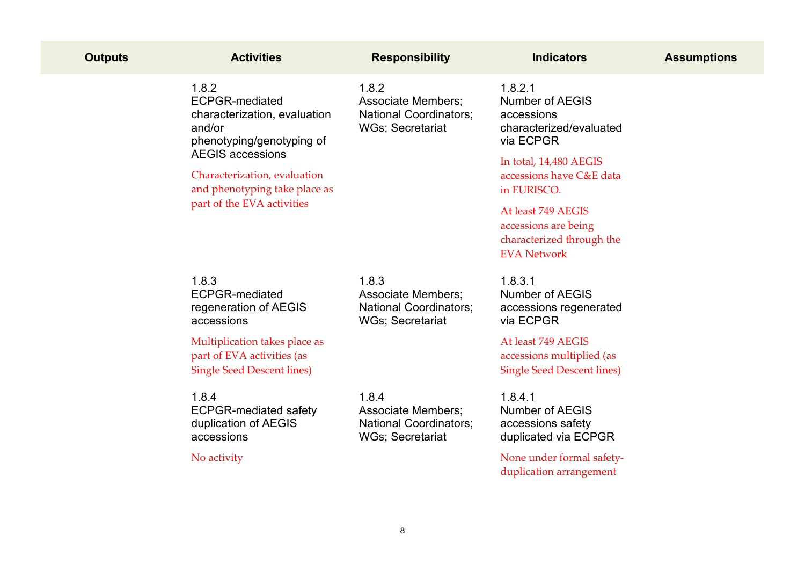| <b>Outputs</b> | <b>Activities</b>                                                                                                                                                                                                               | <b>Responsibility</b>                                                                          | <b>Indicators</b>                                                                                                                                                                                                                                             | <b>Assumptions</b> |
|----------------|---------------------------------------------------------------------------------------------------------------------------------------------------------------------------------------------------------------------------------|------------------------------------------------------------------------------------------------|---------------------------------------------------------------------------------------------------------------------------------------------------------------------------------------------------------------------------------------------------------------|--------------------|
|                | 1.8.2<br><b>ECPGR-mediated</b><br>characterization, evaluation<br>and/or<br>phenotyping/genotyping of<br><b>AEGIS accessions</b><br>Characterization, evaluation<br>and phenotyping take place as<br>part of the EVA activities | 1.8.2<br><b>Associate Members;</b><br><b>National Coordinators;</b><br><b>WGs; Secretariat</b> | 1.8.2.1<br><b>Number of AEGIS</b><br>accessions<br>characterized/evaluated<br>via ECPGR<br>In total, 14,480 AEGIS<br>accessions have C&E data<br>in EURISCO.<br>At least 749 AEGIS<br>accessions are being<br>characterized through the<br><b>EVA Network</b> |                    |
|                | 1.8.3<br><b>ECPGR-mediated</b><br>regeneration of AEGIS<br>accessions                                                                                                                                                           | 1.8.3<br><b>Associate Members:</b><br><b>National Coordinators;</b><br>WGs; Secretariat        | 1.8.3.1<br>Number of AEGIS<br>accessions regenerated<br>via ECPGR                                                                                                                                                                                             |                    |
|                | Multiplication takes place as<br>part of EVA activities (as<br><b>Single Seed Descent lines)</b>                                                                                                                                |                                                                                                | At least 749 AEGIS<br>accessions multiplied (as<br><b>Single Seed Descent lines)</b>                                                                                                                                                                          |                    |
|                | 1.8.4<br><b>ECPGR-mediated safety</b><br>duplication of AEGIS<br>accessions                                                                                                                                                     | 1.8.4<br><b>Associate Members;</b><br><b>National Coordinators;</b><br>WGs; Secretariat        | 1.8.4.1<br><b>Number of AEGIS</b><br>accessions safety<br>duplicated via ECPGR                                                                                                                                                                                |                    |
|                | No activity                                                                                                                                                                                                                     |                                                                                                | None under formal safety-<br>duplication arrangement                                                                                                                                                                                                          |                    |
|                |                                                                                                                                                                                                                                 |                                                                                                |                                                                                                                                                                                                                                                               |                    |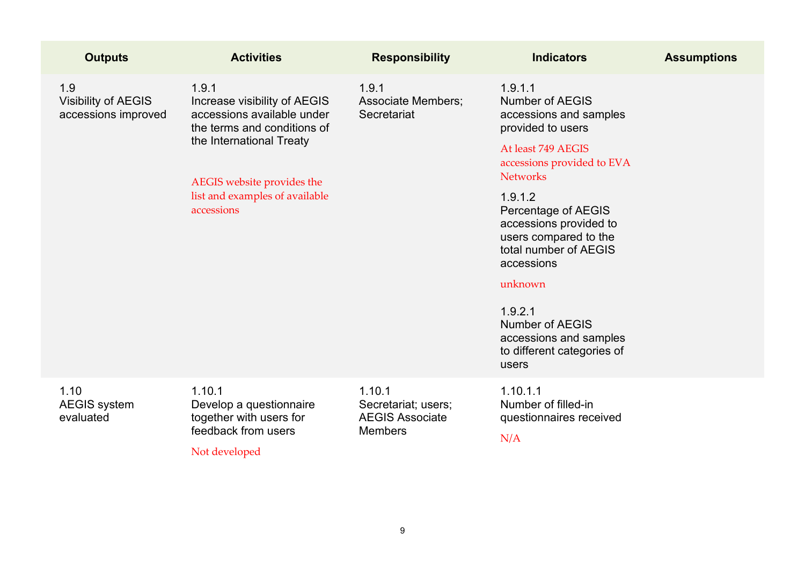| <b>Outputs</b>                                           | <b>Activities</b>                                                                                                                                                                                            | <b>Responsibility</b>                                                     | <b>Indicators</b>                                                                                                                                                                                                                                                                                                                                                                                    | <b>Assumptions</b> |
|----------------------------------------------------------|--------------------------------------------------------------------------------------------------------------------------------------------------------------------------------------------------------------|---------------------------------------------------------------------------|------------------------------------------------------------------------------------------------------------------------------------------------------------------------------------------------------------------------------------------------------------------------------------------------------------------------------------------------------------------------------------------------------|--------------------|
| 1.9<br><b>Visibility of AEGIS</b><br>accessions improved | 1.9.1<br>Increase visibility of AEGIS<br>accessions available under<br>the terms and conditions of<br>the International Treaty<br>AEGIS website provides the<br>list and examples of available<br>accessions | 1.9.1<br><b>Associate Members;</b><br>Secretariat                         | 1.9.1.1<br><b>Number of AEGIS</b><br>accessions and samples<br>provided to users<br>At least 749 AEGIS<br>accessions provided to EVA<br><b>Networks</b><br>1.9.1.2<br>Percentage of AEGIS<br>accessions provided to<br>users compared to the<br>total number of AEGIS<br>accessions<br>unknown<br>1.9.2.1<br><b>Number of AEGIS</b><br>accessions and samples<br>to different categories of<br>users |                    |
| 1.10<br><b>AEGIS</b> system<br>evaluated                 | 1.10.1<br>Develop a questionnaire<br>together with users for<br>feedback from users<br>Not developed                                                                                                         | 1.10.1<br>Secretariat; users;<br><b>AEGIS Associate</b><br><b>Members</b> | 1.10.1.1<br>Number of filled-in<br>questionnaires received<br>N/A                                                                                                                                                                                                                                                                                                                                    |                    |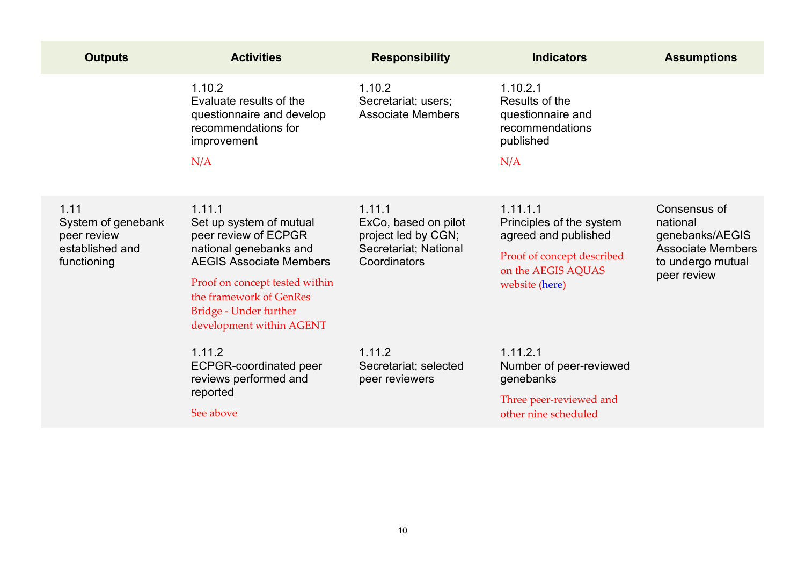| <b>Outputs</b>                                                              | <b>Activities</b>                                                                                                                                                                                                                        | <b>Responsibility</b>                                                                          | <b>Indicators</b>                                                                                                                  | <b>Assumptions</b>                                                                                          |
|-----------------------------------------------------------------------------|------------------------------------------------------------------------------------------------------------------------------------------------------------------------------------------------------------------------------------------|------------------------------------------------------------------------------------------------|------------------------------------------------------------------------------------------------------------------------------------|-------------------------------------------------------------------------------------------------------------|
|                                                                             | 1.10.2<br>Evaluate results of the<br>questionnaire and develop<br>recommendations for<br>improvement<br>N/A                                                                                                                              | 1.10.2<br>Secretariat; users;<br><b>Associate Members</b>                                      | 1.10.2.1<br>Results of the<br>questionnaire and<br>recommendations<br>published<br>N/A                                             |                                                                                                             |
| 1.11<br>System of genebank<br>peer review<br>established and<br>functioning | 1.11.1<br>Set up system of mutual<br>peer review of ECPGR<br>national genebanks and<br><b>AEGIS Associate Members</b><br>Proof on concept tested within<br>the framework of GenRes<br>Bridge - Under further<br>development within AGENT | 1.11.1<br>ExCo, based on pilot<br>project led by CGN;<br>Secretariat; National<br>Coordinators | 1.11.1.1<br>Principles of the system<br>agreed and published<br>Proof of concept described<br>on the AEGIS AQUAS<br>website (here) | Consensus of<br>national<br>genebanks/AEGIS<br><b>Associate Members</b><br>to undergo mutual<br>peer review |
|                                                                             | 1.11.2<br><b>ECPGR-coordinated peer</b><br>reviews performed and<br>reported<br>See above                                                                                                                                                | 1.11.2<br>Secretariat; selected<br>peer reviewers                                              | 1.11.2.1<br>Number of peer-reviewed<br>genebanks<br>Three peer-reviewed and<br>other nine scheduled                                |                                                                                                             |
|                                                                             |                                                                                                                                                                                                                                          |                                                                                                |                                                                                                                                    |                                                                                                             |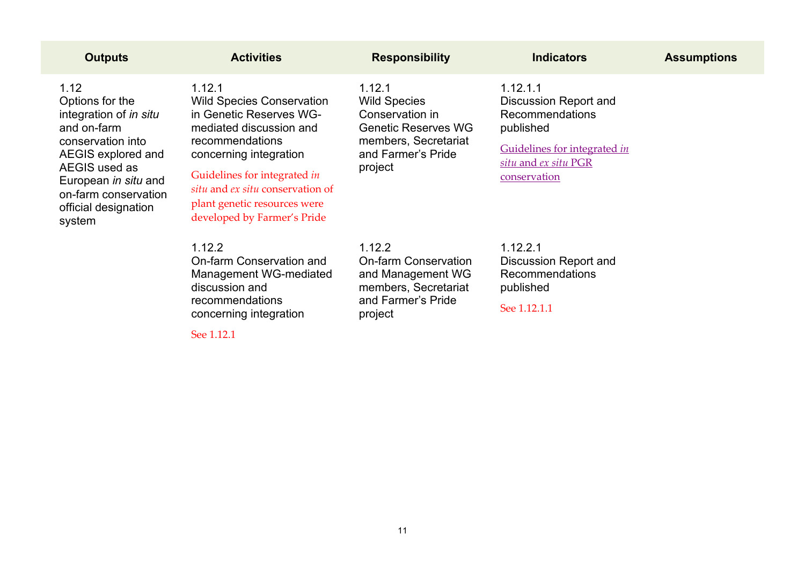| <b>Outputs</b>                                                                                                                                                                                                 | <b>Activities</b>                                                                                                                                                                                                                                                                | <b>Responsibility</b>                                                                                                                   | <b>Indicators</b>                                                                                                                                       | <b>Assumptions</b> |
|----------------------------------------------------------------------------------------------------------------------------------------------------------------------------------------------------------------|----------------------------------------------------------------------------------------------------------------------------------------------------------------------------------------------------------------------------------------------------------------------------------|-----------------------------------------------------------------------------------------------------------------------------------------|---------------------------------------------------------------------------------------------------------------------------------------------------------|--------------------|
| 1.12<br>Options for the<br>integration of in situ<br>and on-farm<br>conservation into<br>AEGIS explored and<br>AEGIS used as<br>European in situ and<br>on-farm conservation<br>official designation<br>system | 1.12.1<br><b>Wild Species Conservation</b><br>in Genetic Reserves WG-<br>mediated discussion and<br>recommendations<br>concerning integration<br>Guidelines for integrated in<br>situ and ex situ conservation of<br>plant genetic resources were<br>developed by Farmer's Pride | 1.12.1<br><b>Wild Species</b><br>Conservation in<br><b>Genetic Reserves WG</b><br>members, Secretariat<br>and Farmer's Pride<br>project | 1.12.1.1<br><b>Discussion Report and</b><br><b>Recommendations</b><br>published<br>Guidelines for integrated in<br>situ and ex situ PGR<br>conservation |                    |
|                                                                                                                                                                                                                | 1.12.2<br>On-farm Conservation and<br>Management WG-mediated<br>discussion and<br>recommendations<br>concerning integration<br>See 1.12.1                                                                                                                                        | 1.12.2<br><b>On-farm Conservation</b><br>and Management WG<br>members, Secretariat<br>and Farmer's Pride<br>project                     | 1.12.2.1<br><b>Discussion Report and</b><br><b>Recommendations</b><br>published<br>See 1.12.1.1                                                         |                    |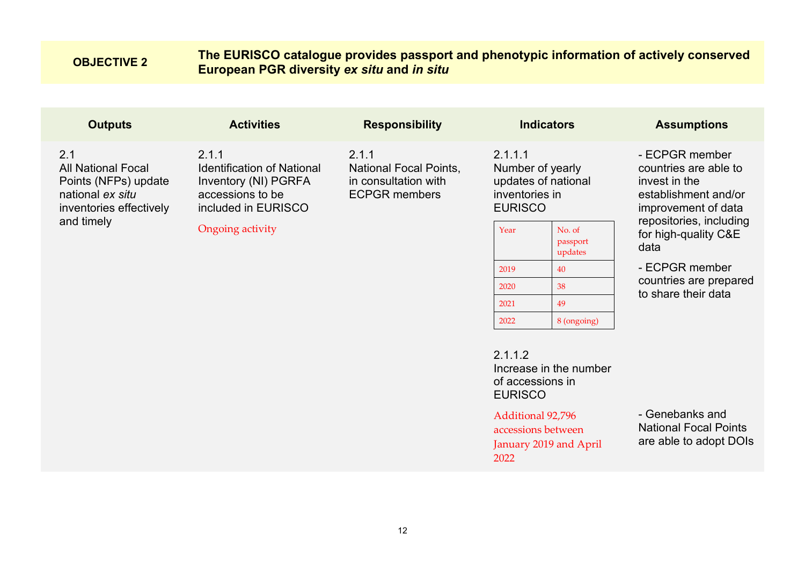## <span id="page-11-0"></span>**OBJECTIVE 2 The EURISCO catalogue provides passport and phenotypic information of actively conserved European PGR diversity** *ex situ* **and** *in situ*

| <b>Outputs</b>                                                                                                        | <b>Activities</b>                                                                                                                 | <b>Responsibility</b>                                                                  | <b>Indicators</b>                                                                                                               | <b>Assumptions</b>                                                                                                                                                 |
|-----------------------------------------------------------------------------------------------------------------------|-----------------------------------------------------------------------------------------------------------------------------------|----------------------------------------------------------------------------------------|---------------------------------------------------------------------------------------------------------------------------------|--------------------------------------------------------------------------------------------------------------------------------------------------------------------|
| 2.1<br><b>All National Focal</b><br>Points (NFPs) update<br>national ex situ<br>inventories effectively<br>and timely | 2.1.1<br><b>Identification of National</b><br>Inventory (NI) PGRFA<br>accessions to be<br>included in EURISCO<br>Ongoing activity | 2.1.1<br><b>National Focal Points,</b><br>in consultation with<br><b>ECPGR members</b> | 2.1.1.1<br>Number of yearly<br>updates of national<br>inventories in<br><b>EURISCO</b><br>No. of<br>Year<br>passport<br>updates | - ECPGR member<br>countries are able to<br>invest in the<br>establishment and/or<br>improvement of data<br>repositories, including<br>for high-quality C&E<br>data |

- ECPGR member countries are prepared to share their data

2.112 Increase in the number of accessions in EURISCO

2022 8 (ongoing)

#### Additional 92,796

2019 40 2020 38 2021 49

accessions between January 2019 and April 2022

- Genebanks and National Focal Points are able to adopt DOIs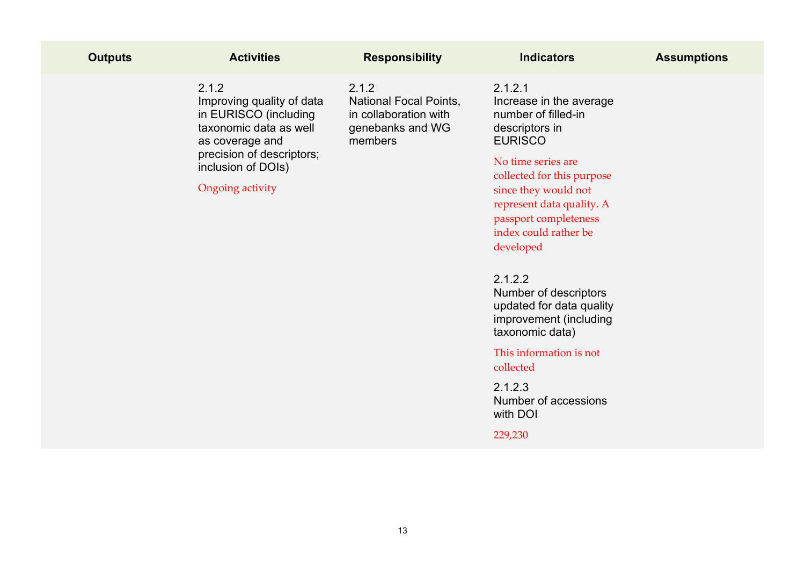| <b>Outputs</b> | <b>Activities</b>                                                                                                                                                               | <b>Responsibility</b>                                                                          | <b>Indicators</b>                                                                                                                                                                                                                                                                                                                                                                                                                     | <b>Assumptions</b> |
|----------------|---------------------------------------------------------------------------------------------------------------------------------------------------------------------------------|------------------------------------------------------------------------------------------------|---------------------------------------------------------------------------------------------------------------------------------------------------------------------------------------------------------------------------------------------------------------------------------------------------------------------------------------------------------------------------------------------------------------------------------------|--------------------|
|                | 2.1.2<br>Improving quality of data<br>in EURISCO (including<br>taxonomic data as well<br>as coverage and<br>precision of descriptors;<br>inclusion of DOIs)<br>Ongoing activity | 2.1.2<br><b>National Focal Points,</b><br>in collaboration with<br>genebanks and WG<br>members | 2.1.2.1<br>Increase in the average<br>number of filled-in<br>descriptors in<br><b>EURISCO</b><br>No time series are<br>collected for this purpose<br>since they would not<br>represent data quality. A<br>passport completeness<br>index could rather be<br>developed<br>2.1.2.2<br>Number of descriptors<br>updated for data quality<br>improvement (including<br>taxonomic data)<br>This information is not<br>collected<br>2.1.2.3 |                    |
|                |                                                                                                                                                                                 |                                                                                                | Number of accessions<br>with DOI                                                                                                                                                                                                                                                                                                                                                                                                      |                    |
|                |                                                                                                                                                                                 |                                                                                                | 229,230                                                                                                                                                                                                                                                                                                                                                                                                                               |                    |
|                |                                                                                                                                                                                 |                                                                                                |                                                                                                                                                                                                                                                                                                                                                                                                                                       |                    |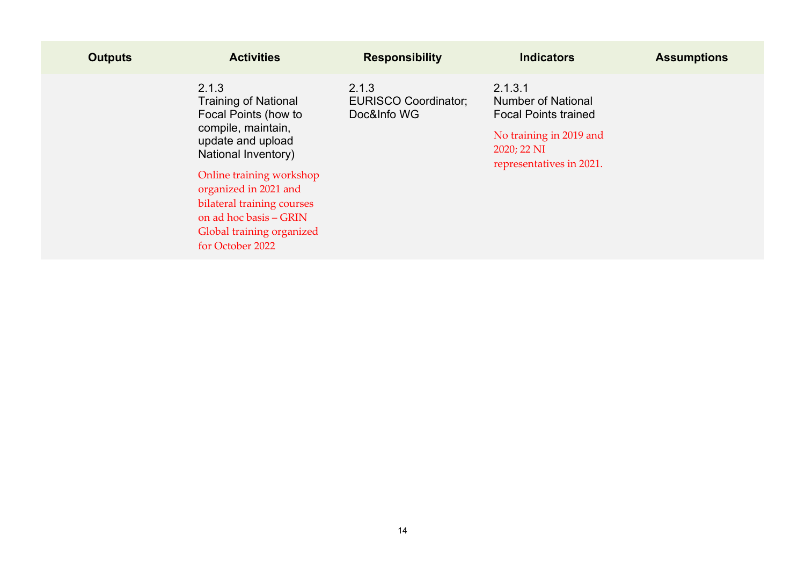| <b>Outputs</b> | <b>Activities</b>                                                                                                                                                                                                                                                                            | <b>Responsibility</b>                               | <b>Indicators</b>                                                                                                                         | <b>Assumptions</b> |
|----------------|----------------------------------------------------------------------------------------------------------------------------------------------------------------------------------------------------------------------------------------------------------------------------------------------|-----------------------------------------------------|-------------------------------------------------------------------------------------------------------------------------------------------|--------------------|
|                | 2.1.3<br><b>Training of National</b><br>Focal Points (how to<br>compile, maintain,<br>update and upload<br>National Inventory)<br>Online training workshop<br>organized in 2021 and<br>bilateral training courses<br>on ad hoc basis - GRIN<br>Global training organized<br>for October 2022 | 2.1.3<br><b>EURISCO Coordinator;</b><br>Doc&Info WG | 2.1.3.1<br><b>Number of National</b><br><b>Focal Points trained</b><br>No training in 2019 and<br>2020; 22 NI<br>representatives in 2021. |                    |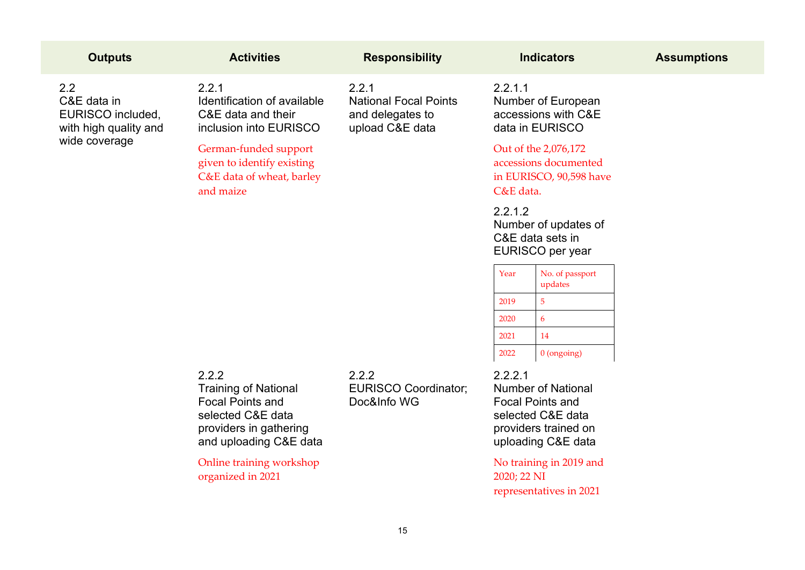| <b>Outputs</b>                                                                    | <b>Activities</b>                                                                                                                        | <b>Responsibility</b>                                                        | <b>Indicators</b>                                                                                                                  | <b>Assumptions</b> |
|-----------------------------------------------------------------------------------|------------------------------------------------------------------------------------------------------------------------------------------|------------------------------------------------------------------------------|------------------------------------------------------------------------------------------------------------------------------------|--------------------|
| 2.2<br>C&E data in<br>EURISCO included,<br>with high quality and<br>wide coverage | 2.2.1<br>Identification of available<br>C&E data and their<br>inclusion into EURISCO                                                     | 2.2.1<br><b>National Focal Points</b><br>and delegates to<br>upload C&E data | 2.2.1.1<br>Number of European<br>accessions with C&E<br>data in EURISCO                                                            |                    |
|                                                                                   | German-funded support<br>given to identify existing<br>C&E data of wheat, barley<br>and maize                                            |                                                                              | Out of the 2,076,172<br>accessions documented<br>in EURISCO, 90,598 have<br>C&E data.                                              |                    |
|                                                                                   |                                                                                                                                          |                                                                              | 2.2.1.2<br>Number of updates of<br>C&E data sets in<br>EURISCO per year                                                            |                    |
|                                                                                   |                                                                                                                                          |                                                                              | Year<br>No. of passport<br>updates                                                                                                 |                    |
|                                                                                   |                                                                                                                                          |                                                                              | $5\phantom{.}$<br>2019                                                                                                             |                    |
|                                                                                   |                                                                                                                                          |                                                                              | $\overline{6}$<br>2020                                                                                                             |                    |
|                                                                                   |                                                                                                                                          |                                                                              | 14<br>2021                                                                                                                         |                    |
|                                                                                   |                                                                                                                                          |                                                                              | 2022<br>0 (ongoing)                                                                                                                |                    |
|                                                                                   | 2.2.2<br><b>Training of National</b><br><b>Focal Points and</b><br>selected C&E data<br>providers in gathering<br>and uploading C&E data | 2.2.2<br><b>EURISCO Coordinator;</b><br>Doc&Info WG                          | 2.2.2.1<br><b>Number of National</b><br><b>Focal Points and</b><br>selected C&E data<br>providers trained on<br>uploading C&E data |                    |
|                                                                                   | Online training workshop<br>organized in 2021                                                                                            |                                                                              | No training in 2019 and<br>2020; 22 NI<br>representatives in 2021                                                                  |                    |
|                                                                                   |                                                                                                                                          | 15                                                                           |                                                                                                                                    |                    |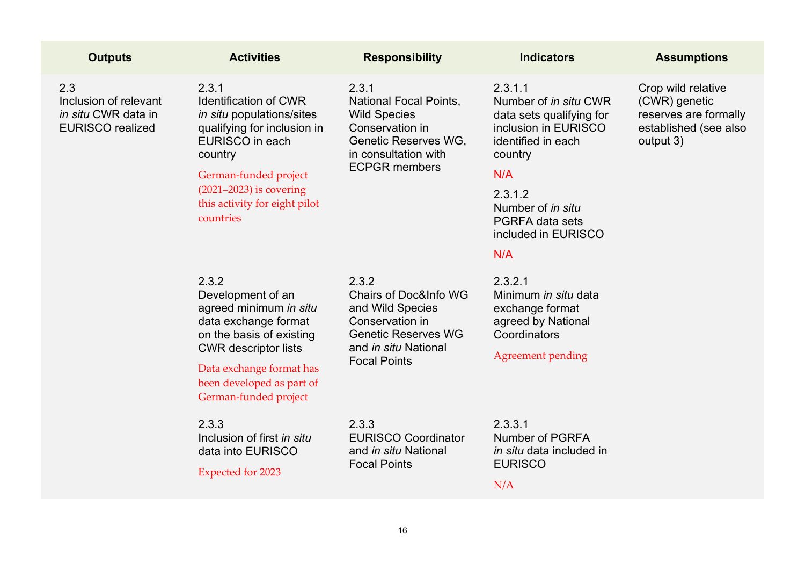| <b>Outputs</b>                                                                 | <b>Activities</b>                                                                                                                                                                                                                   | <b>Responsibility</b>                                                                                                                                         | <b>Indicators</b>                                                                                                                                                                                                    | <b>Assumptions</b>                                                                                 |
|--------------------------------------------------------------------------------|-------------------------------------------------------------------------------------------------------------------------------------------------------------------------------------------------------------------------------------|---------------------------------------------------------------------------------------------------------------------------------------------------------------|----------------------------------------------------------------------------------------------------------------------------------------------------------------------------------------------------------------------|----------------------------------------------------------------------------------------------------|
| 2.3<br>Inclusion of relevant<br>in situ CWR data in<br><b>EURISCO</b> realized | 2.3.1<br><b>Identification of CWR</b><br>in situ populations/sites<br>qualifying for inclusion in<br>EURISCO in each<br>country<br>German-funded project<br>$(2021-2023)$ is covering<br>this activity for eight pilot<br>countries | 2.3.1<br><b>National Focal Points,</b><br><b>Wild Species</b><br>Conservation in<br>Genetic Reserves WG,<br>in consultation with<br><b>ECPGR</b> members      | 2.3.1.1<br>Number of in situ CWR<br>data sets qualifying for<br>inclusion in EURISCO<br>identified in each<br>country<br>N/A<br>2.3.1.2<br>Number of in situ<br><b>PGRFA data sets</b><br>included in EURISCO<br>N/A | Crop wild relative<br>(CWR) genetic<br>reserves are formally<br>established (see also<br>output 3) |
|                                                                                | 2.3.2<br>Development of an<br>agreed minimum in situ<br>data exchange format<br>on the basis of existing<br><b>CWR</b> descriptor lists<br>Data exchange format has<br>been developed as part of<br>German-funded project           | 2.3.2<br><b>Chairs of Doc&amp;Info WG</b><br>and Wild Species<br>Conservation in<br><b>Genetic Reserves WG</b><br>and in situ National<br><b>Focal Points</b> | 2.3.2.1<br>Minimum in situ data<br>exchange format<br>agreed by National<br>Coordinators<br><b>Agreement pending</b>                                                                                                 |                                                                                                    |
|                                                                                | 2.3.3<br>Inclusion of first in situ<br>data into EURISCO<br><b>Expected for 2023</b>                                                                                                                                                | 2.3.3<br><b>EURISCO Coordinator</b><br>and in situ National<br><b>Focal Points</b>                                                                            | 2.3.3.1<br><b>Number of PGRFA</b><br><i>in situ</i> data included in<br><b>EURISCO</b><br>N/A                                                                                                                        |                                                                                                    |
|                                                                                |                                                                                                                                                                                                                                     |                                                                                                                                                               |                                                                                                                                                                                                                      |                                                                                                    |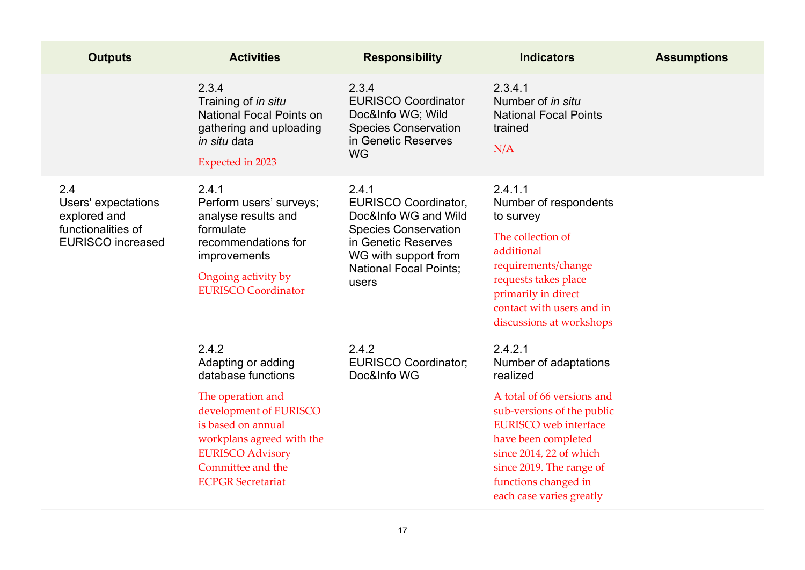| <b>Outputs</b>                                                                               | <b>Activities</b>                                                                                                                                                                                                               | <b>Responsibility</b>                                                                                                                                                                | <b>Indicators</b>                                                                                                                                                                                                                                                          | <b>Assumptions</b> |
|----------------------------------------------------------------------------------------------|---------------------------------------------------------------------------------------------------------------------------------------------------------------------------------------------------------------------------------|--------------------------------------------------------------------------------------------------------------------------------------------------------------------------------------|----------------------------------------------------------------------------------------------------------------------------------------------------------------------------------------------------------------------------------------------------------------------------|--------------------|
|                                                                                              | 2.3.4<br>Training of in situ<br><b>National Focal Points on</b><br>gathering and uploading<br><i>in situ</i> data<br><b>Expected in 2023</b>                                                                                    | 2.3.4<br><b>EURISCO Coordinator</b><br>Doc&Info WG; Wild<br><b>Species Conservation</b><br>in Genetic Reserves<br><b>WG</b>                                                          | 2.3.4.1<br>Number of in situ<br><b>National Focal Points</b><br>trained<br>N/A                                                                                                                                                                                             |                    |
| 2.4<br>Users' expectations<br>explored and<br>functionalities of<br><b>EURISCO</b> increased | 2.4.1<br>Perform users' surveys;<br>analyse results and<br>formulate<br>recommendations for<br>improvements<br>Ongoing activity by<br><b>EURISCO Coordinator</b>                                                                | 2.4.1<br><b>EURISCO Coordinator,</b><br>Doc&Info WG and Wild<br><b>Species Conservation</b><br>in Genetic Reserves<br>WG with support from<br><b>National Focal Points:</b><br>users | 2.4.1.1<br>Number of respondents<br>to survey<br>The collection of<br>additional<br>requirements/change<br>requests takes place<br>primarily in direct<br>contact with users and in<br>discussions at workshops                                                            |                    |
|                                                                                              | 2.4.2<br>Adapting or adding<br>database functions<br>The operation and<br>development of EURISCO<br>is based on annual<br>workplans agreed with the<br><b>EURISCO Advisory</b><br>Committee and the<br><b>ECPGR</b> Secretariat | 2.4.2<br><b>EURISCO Coordinator;</b><br>Doc&Info WG                                                                                                                                  | 2.4.2.1<br>Number of adaptations<br>realized<br>A total of 66 versions and<br>sub-versions of the public<br><b>EURISCO</b> web interface<br>have been completed<br>since 2014, 22 of which<br>since 2019. The range of<br>functions changed in<br>each case varies greatly |                    |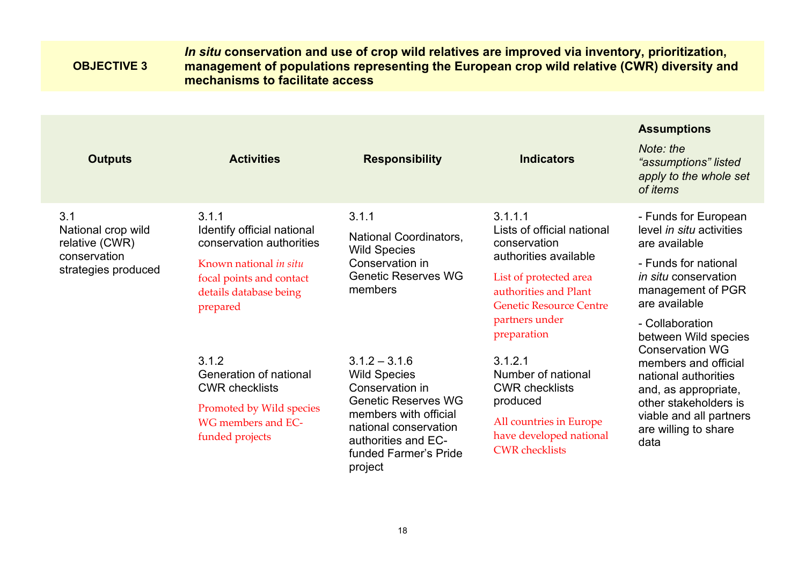#### <span id="page-17-0"></span>**OBJECTIVE 3** *In situ* **conservation and use of crop wild relatives are improved via inventory, prioritization, management of populations representing the European crop wild relative (CWR) diversity and mechanisms to facilitate access**

**Assumptions**

|                                                                                    |                                                                                                                                                             |                                                                                                                                                                                                      |                                                                                                                                                                                                      | <b>ASSUMPTIONS</b>                                                                                                                                                                                        |
|------------------------------------------------------------------------------------|-------------------------------------------------------------------------------------------------------------------------------------------------------------|------------------------------------------------------------------------------------------------------------------------------------------------------------------------------------------------------|------------------------------------------------------------------------------------------------------------------------------------------------------------------------------------------------------|-----------------------------------------------------------------------------------------------------------------------------------------------------------------------------------------------------------|
| <b>Outputs</b>                                                                     | <b>Activities</b>                                                                                                                                           | <b>Responsibility</b>                                                                                                                                                                                | <b>Indicators</b>                                                                                                                                                                                    | Note: the<br>"assumptions" listed<br>apply to the whole set<br>of <i>items</i>                                                                                                                            |
| 3.1<br>National crop wild<br>relative (CWR)<br>conservation<br>strategies produced | 3.1.1<br>Identify official national<br>conservation authorities<br>Known national in situ<br>focal points and contact<br>details database being<br>prepared | 3.1.1<br>National Coordinators,<br><b>Wild Species</b><br>Conservation in<br><b>Genetic Reserves WG</b><br>members                                                                                   | 3.1.1.1<br>Lists of official national<br>conservation<br>authorities available<br>List of protected area<br>authorities and Plant<br><b>Genetic Resource Centre</b><br>partners under<br>preparation | - Funds for European<br>level in situ activities<br>are available<br>- Funds for national<br><i>in situ</i> conservation<br>management of PGR<br>are available<br>- Collaboration<br>between Wild species |
|                                                                                    | 3.1.2<br>Generation of national<br><b>CWR checklists</b><br>Promoted by Wild species<br>WG members and EC-<br>funded projects                               | $3.1.2 - 3.1.6$<br><b>Wild Species</b><br>Conservation in<br><b>Genetic Reserves WG</b><br>members with official<br>national conservation<br>authorities and EC-<br>funded Farmer's Pride<br>project | 3.1.2.1<br>Number of national<br><b>CWR</b> checklists<br>produced<br>All countries in Europe<br>have developed national<br><b>CWR</b> checklists                                                    | <b>Conservation WG</b><br>members and official<br>national authorities<br>and, as appropriate,<br>other stakeholders is<br>viable and all partners<br>are willing to share<br>data                        |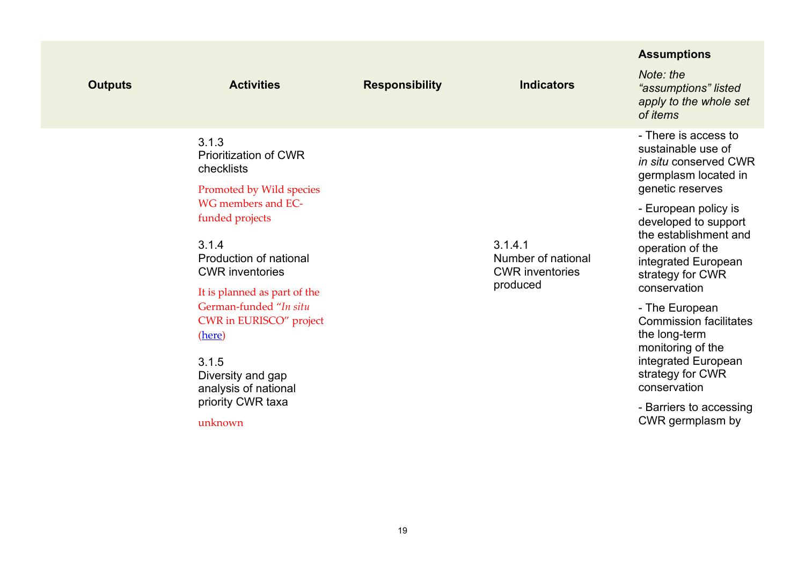| <b>Outputs</b> | <b>Activities</b>                                                                                                                  | <b>Responsibility</b> | <b>Indicators</b>                                                   | <b>Assumptions</b><br>Note: the<br>"assumptions" listed<br>apply to the whole set<br>of items                                                        |
|----------------|------------------------------------------------------------------------------------------------------------------------------------|-----------------------|---------------------------------------------------------------------|------------------------------------------------------------------------------------------------------------------------------------------------------|
|                | 3.1.3<br><b>Prioritization of CWR</b><br>checklists<br>Promoted by Wild species                                                    |                       |                                                                     | - There is access to<br>sustainable use of<br><i>in situ</i> conserved CWR<br>germplasm located in<br>genetic reserves                               |
|                | WG members and EC-<br>funded projects<br>3.1.4<br>Production of national<br><b>CWR</b> inventories<br>It is planned as part of the |                       | 3.1.4.1<br>Number of national<br><b>CWR</b> inventories<br>produced | - European policy is<br>developed to support<br>the establishment and<br>operation of the<br>integrated European<br>strategy for CWR<br>conservation |
|                | German-funded "In situ<br>CWR in EURISCO" project<br>(here)<br>3.1.5<br>Diversity and gap<br>analysis of national                  |                       |                                                                     | - The European<br><b>Commission facilitates</b><br>the long-term<br>monitoring of the<br>integrated European<br>strategy for CWR<br>conservation     |
|                | priority CWR taxa<br>unknown                                                                                                       |                       |                                                                     | - Barriers to accessing<br>CWR germplasm by                                                                                                          |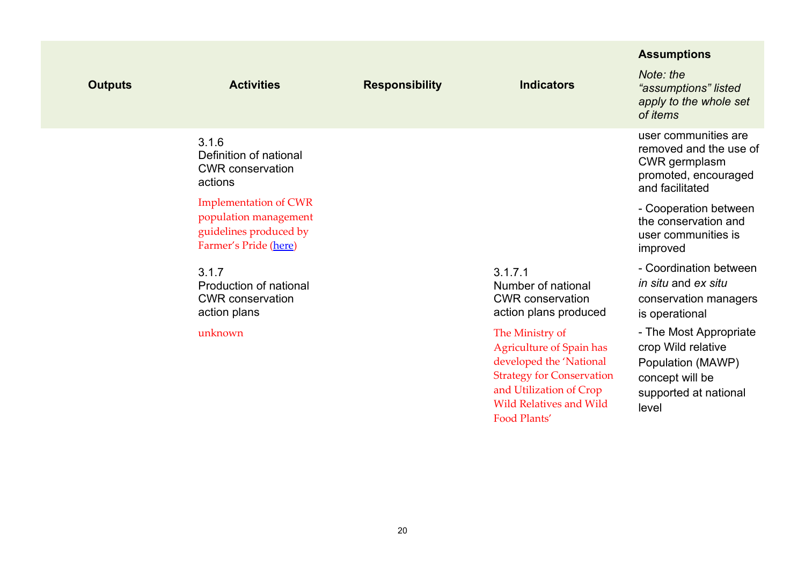|                |                                                                                                          |                       |                                                                                                                                                                                                | <b>Assumptions</b>                                                                                                     |
|----------------|----------------------------------------------------------------------------------------------------------|-----------------------|------------------------------------------------------------------------------------------------------------------------------------------------------------------------------------------------|------------------------------------------------------------------------------------------------------------------------|
| <b>Outputs</b> | <b>Activities</b>                                                                                        | <b>Responsibility</b> | <b>Indicators</b>                                                                                                                                                                              | Note: the<br>"assumptions" listed<br>apply to the whole set<br>of items                                                |
|                | 3.1.6<br>Definition of national<br><b>CWR</b> conservation<br>actions                                    |                       |                                                                                                                                                                                                | user communities are<br>removed and the use of<br>CWR germplasm<br>promoted, encouraged<br>and facilitated             |
|                | <b>Implementation of CWR</b><br>population management<br>guidelines produced by<br>Farmer's Pride (here) |                       |                                                                                                                                                                                                | - Cooperation between<br>the conservation and<br>user communities is<br>improved                                       |
|                | 3.1.7<br><b>Production of national</b><br><b>CWR</b> conservation<br>action plans                        |                       | 3.1.7.1<br>Number of national<br><b>CWR</b> conservation<br>action plans produced                                                                                                              | - Coordination between<br>in situ and ex situ<br>conservation managers<br>is operational                               |
|                | unknown                                                                                                  |                       | The Ministry of<br><b>Agriculture of Spain has</b><br>developed the 'National<br><b>Strategy for Conservation</b><br>and Utilization of Crop<br><b>Wild Relatives and Wild</b><br>Food Plants' | - The Most Appropriate<br>crop Wild relative<br>Population (MAWP)<br>concept will be<br>supported at national<br>level |
|                |                                                                                                          |                       |                                                                                                                                                                                                |                                                                                                                        |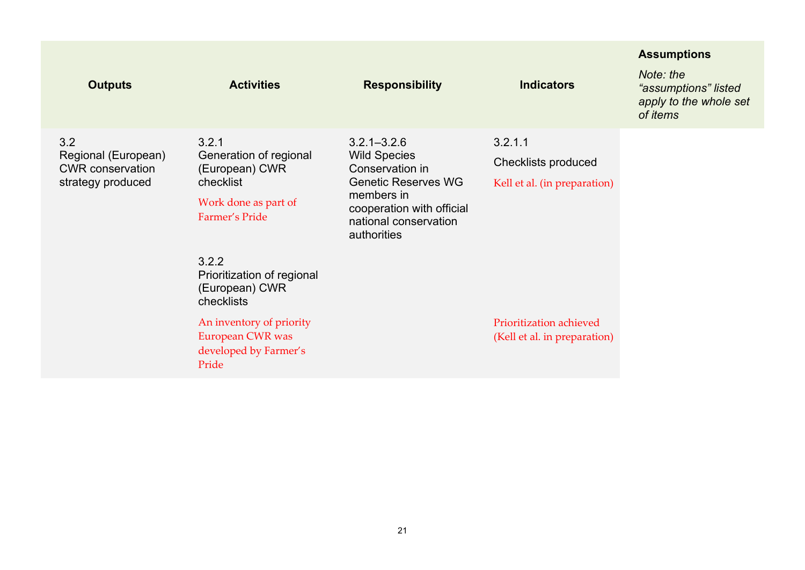|                                                                     |                                                                                |                                                                   |                                                         | <b>Assumptions</b>                                                      |
|---------------------------------------------------------------------|--------------------------------------------------------------------------------|-------------------------------------------------------------------|---------------------------------------------------------|-------------------------------------------------------------------------|
| <b>Outputs</b>                                                      | <b>Activities</b>                                                              | <b>Responsibility</b>                                             | <b>Indicators</b>                                       | Note: the<br>"assumptions" listed<br>apply to the whole set<br>of items |
| 3.2                                                                 | 3.2.1                                                                          | $3.2.1 - 3.2.6$                                                   | 3.2.1.1                                                 |                                                                         |
| Regional (European)<br><b>CWR</b> conservation<br>strategy produced | Generation of regional<br>(European) CWR                                       | <b>Wild Species</b><br>Conservation in                            | Checklists produced                                     |                                                                         |
|                                                                     | checklist                                                                      | <b>Genetic Reserves WG</b><br>members in                          | Kell et al. (in preparation)                            |                                                                         |
|                                                                     | Work done as part of<br>Farmer's Pride                                         | cooperation with official<br>national conservation<br>authorities |                                                         |                                                                         |
|                                                                     | 3.2.2<br>Prioritization of regional<br>(European) CWR<br>checklists            |                                                                   |                                                         |                                                                         |
|                                                                     | An inventory of priority<br>European CWR was<br>developed by Farmer's<br>Pride |                                                                   | Prioritization achieved<br>(Kell et al. in preparation) |                                                                         |
|                                                                     |                                                                                |                                                                   |                                                         |                                                                         |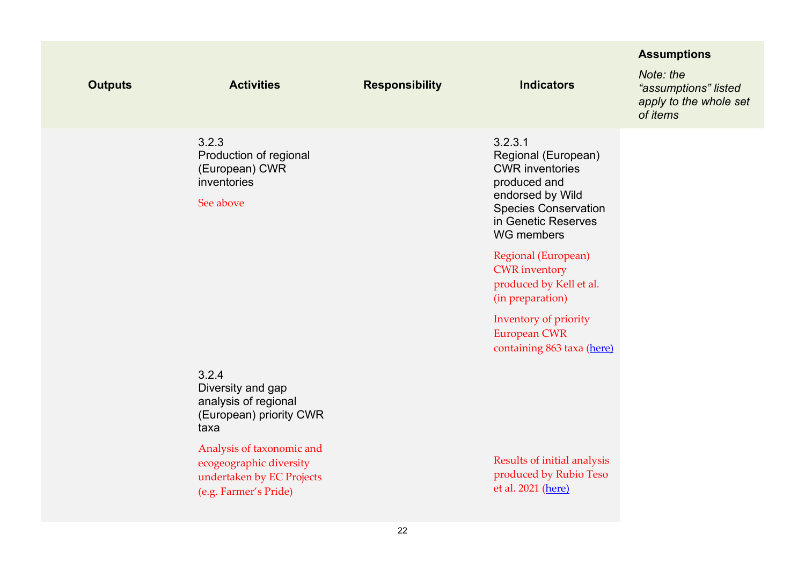| <b>Outputs</b> | <b>Activities</b>                                                                                          | <b>Responsibility</b> | <b>Indicators</b>                                                                                                                                                       | <b>Assumptions</b><br>Note: the<br>"assumptions" listed<br>apply to the whole set<br>of items |
|----------------|------------------------------------------------------------------------------------------------------------|-----------------------|-------------------------------------------------------------------------------------------------------------------------------------------------------------------------|-----------------------------------------------------------------------------------------------|
|                | 3.2.3<br>Production of regional<br>(European) CWR<br>inventories<br>See above                              |                       | 3.2.3.1<br>Regional (European)<br><b>CWR</b> inventories<br>produced and<br>endorsed by Wild<br><b>Species Conservation</b><br>in Genetic Reserves<br><b>WG</b> members |                                                                                               |
|                |                                                                                                            |                       | Regional (European)<br><b>CWR</b> inventory<br>produced by Kell et al.<br>(in preparation)                                                                              |                                                                                               |
|                |                                                                                                            |                       | Inventory of priority<br><b>European CWR</b><br>containing 863 taxa (here)                                                                                              |                                                                                               |
|                | 3.2.4<br>Diversity and gap<br>analysis of regional<br>(European) priority CWR<br>taxa                      |                       |                                                                                                                                                                         |                                                                                               |
|                | Analysis of taxonomic and<br>ecogeographic diversity<br>undertaken by EC Projects<br>(e.g. Farmer's Pride) |                       | Results of initial analysis<br>produced by Rubio Teso<br>et al. 2021 (here)                                                                                             |                                                                                               |
|                |                                                                                                            |                       |                                                                                                                                                                         |                                                                                               |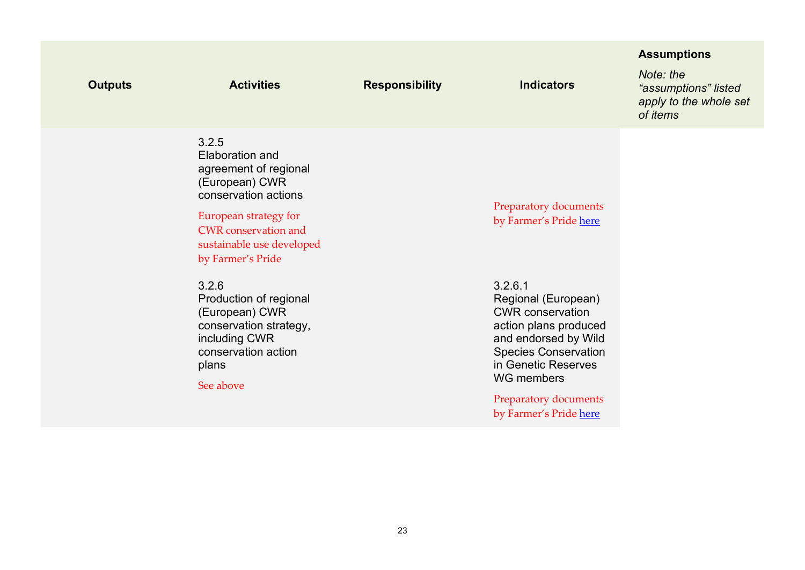| <b>Outputs</b> | <b>Activities</b>                                                                                                                                                                                            | <b>Responsibility</b> | <b>Indicators</b>                                                                                                                                                                                                                        | <b>Assumptions</b><br>Note: the<br>"assumptions" listed<br>apply to the whole set<br>of items |
|----------------|--------------------------------------------------------------------------------------------------------------------------------------------------------------------------------------------------------------|-----------------------|------------------------------------------------------------------------------------------------------------------------------------------------------------------------------------------------------------------------------------------|-----------------------------------------------------------------------------------------------|
|                | 3.2.5<br><b>Elaboration and</b><br>agreement of regional<br>(European) CWR<br>conservation actions<br>European strategy for<br><b>CWR</b> conservation and<br>sustainable use developed<br>by Farmer's Pride |                       | Preparatory documents<br>by Farmer's Pride here                                                                                                                                                                                          |                                                                                               |
|                | 3.2.6<br>Production of regional<br>(European) CWR<br>conservation strategy,<br>including CWR<br>conservation action<br>plans<br>See above                                                                    |                       | 3.2.6.1<br>Regional (European)<br><b>CWR</b> conservation<br>action plans produced<br>and endorsed by Wild<br><b>Species Conservation</b><br>in Genetic Reserves<br><b>WG</b> members<br>Preparatory documents<br>by Farmer's Pride here |                                                                                               |
|                |                                                                                                                                                                                                              |                       |                                                                                                                                                                                                                                          |                                                                                               |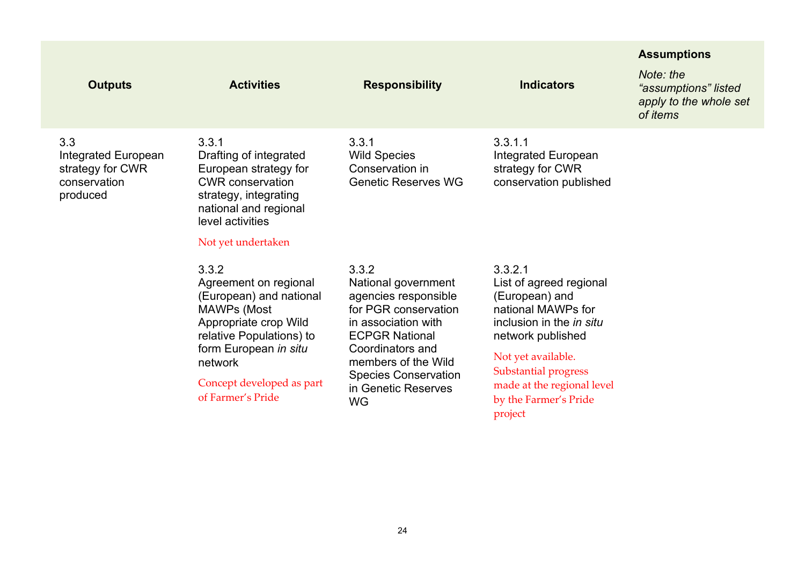|                                                                                   |                                                                                                                                                                                                                            |                                                                                                                                                                                                                                            |                                                                                                                                                                                                                                                           | <b>Assumptions</b>                                                             |
|-----------------------------------------------------------------------------------|----------------------------------------------------------------------------------------------------------------------------------------------------------------------------------------------------------------------------|--------------------------------------------------------------------------------------------------------------------------------------------------------------------------------------------------------------------------------------------|-----------------------------------------------------------------------------------------------------------------------------------------------------------------------------------------------------------------------------------------------------------|--------------------------------------------------------------------------------|
| <b>Outputs</b>                                                                    | <b>Activities</b>                                                                                                                                                                                                          | <b>Responsibility</b>                                                                                                                                                                                                                      | <b>Indicators</b>                                                                                                                                                                                                                                         | Note: the<br>"assumptions" listed<br>apply to the whole set<br>of <i>items</i> |
| 3.3<br><b>Integrated European</b><br>strategy for CWR<br>conservation<br>produced | 3.3.1<br>Drafting of integrated<br>European strategy for<br><b>CWR</b> conservation<br>strategy, integrating<br>national and regional<br>level activities<br>Not yet undertaken                                            | 3.3.1<br><b>Wild Species</b><br>Conservation in<br><b>Genetic Reserves WG</b>                                                                                                                                                              | 3.3.1.1<br><b>Integrated European</b><br>strategy for CWR<br>conservation published                                                                                                                                                                       |                                                                                |
|                                                                                   | 3.3.2<br>Agreement on regional<br>(European) and national<br><b>MAWPs (Most</b><br>Appropriate crop Wild<br>relative Populations) to<br>form European in situ<br>network<br>Concept developed as part<br>of Farmer's Pride | 3.3.2<br>National government<br>agencies responsible<br>for PGR conservation<br>in association with<br><b>ECPGR National</b><br>Coordinators and<br>members of the Wild<br><b>Species Conservation</b><br>in Genetic Reserves<br><b>WG</b> | 3.3.2.1<br>List of agreed regional<br>(European) and<br>national MAWPs for<br>inclusion in the <i>in situ</i><br>network published<br>Not yet available.<br><b>Substantial progress</b><br>made at the regional level<br>by the Farmer's Pride<br>project |                                                                                |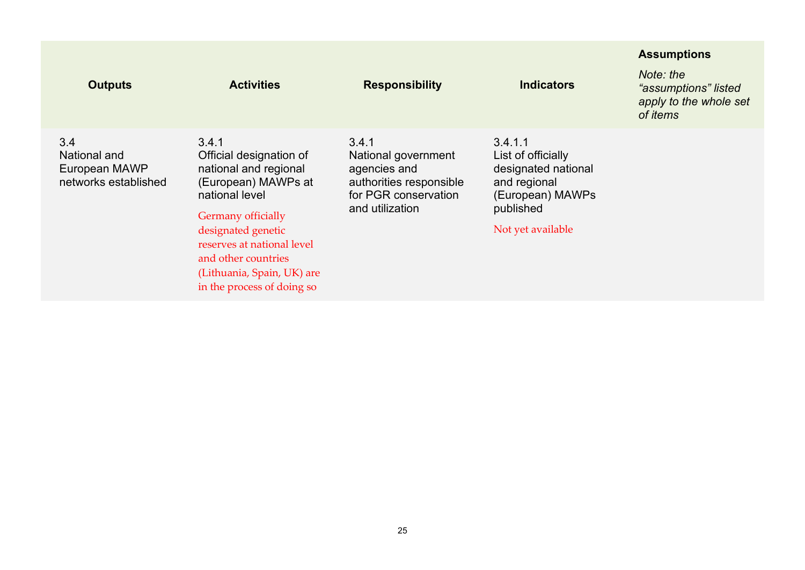|                                                              |                                                                                                                                                                                                                                                                 |                                                                                                                    |                                                                                                                            | <b>Assumptions</b>                                                             |
|--------------------------------------------------------------|-----------------------------------------------------------------------------------------------------------------------------------------------------------------------------------------------------------------------------------------------------------------|--------------------------------------------------------------------------------------------------------------------|----------------------------------------------------------------------------------------------------------------------------|--------------------------------------------------------------------------------|
| <b>Outputs</b>                                               | <b>Activities</b>                                                                                                                                                                                                                                               | <b>Responsibility</b>                                                                                              | <b>Indicators</b>                                                                                                          | Note: the<br>"assumptions" listed<br>apply to the whole set<br>of <i>items</i> |
| 3.4<br>National and<br>European MAWP<br>networks established | 3.4.1<br>Official designation of<br>national and regional<br>(European) MAWPs at<br>national level<br>Germany officially<br>designated genetic<br>reserves at national level<br>and other countries<br>(Lithuania, Spain, UK) are<br>in the process of doing so | 3.4.1<br>National government<br>agencies and<br>authorities responsible<br>for PGR conservation<br>and utilization | 3.4.1.1<br>List of officially<br>designated national<br>and regional<br>(European) MAWPs<br>published<br>Not yet available |                                                                                |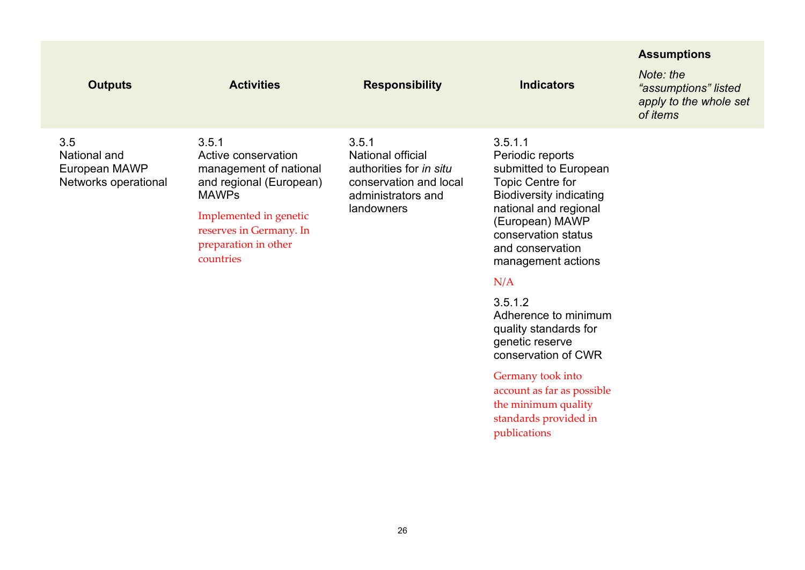|                                                              |                                                                                                                                                                                             |                                                                                                                     |                                                                                                                                                                                                                                | <b>Assumptions</b>                                                      |
|--------------------------------------------------------------|---------------------------------------------------------------------------------------------------------------------------------------------------------------------------------------------|---------------------------------------------------------------------------------------------------------------------|--------------------------------------------------------------------------------------------------------------------------------------------------------------------------------------------------------------------------------|-------------------------------------------------------------------------|
| <b>Outputs</b>                                               | <b>Activities</b>                                                                                                                                                                           | <b>Responsibility</b>                                                                                               | <b>Indicators</b>                                                                                                                                                                                                              | Note: the<br>"assumptions" listed<br>apply to the whole set<br>of items |
| 3.5<br>National and<br>European MAWP<br>Networks operational | 3.5.1<br>Active conservation<br>management of national<br>and regional (European)<br><b>MAWPs</b><br>Implemented in genetic<br>reserves in Germany. In<br>preparation in other<br>countries | 3.5.1<br>National official<br>authorities for in situ<br>conservation and local<br>administrators and<br>landowners | 3.5.1.1<br>Periodic reports<br>submitted to European<br><b>Topic Centre for</b><br><b>Biodiversity indicating</b><br>national and regional<br>(European) MAWP<br>conservation status<br>and conservation<br>management actions |                                                                         |

### N/A

#### 3.5.1.2

Adherence to minimum quality standards for genetic reserve conservation of CWR

### Germany took into

account as far as possible the minimum quality standards provided in publications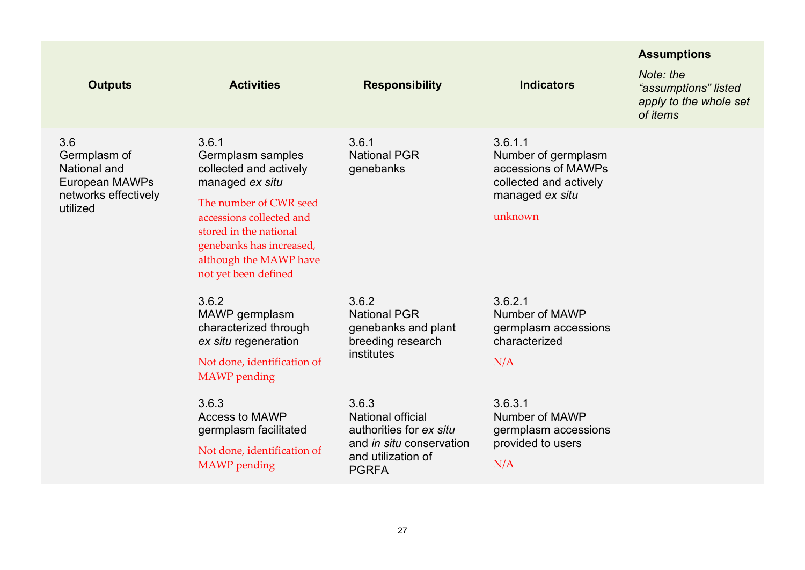|                                                                                           |                                                                                                                                                                                                                                       |                                                                                                                                |                                                                                                               | <b>Assumptions</b>                                                      |
|-------------------------------------------------------------------------------------------|---------------------------------------------------------------------------------------------------------------------------------------------------------------------------------------------------------------------------------------|--------------------------------------------------------------------------------------------------------------------------------|---------------------------------------------------------------------------------------------------------------|-------------------------------------------------------------------------|
| <b>Outputs</b>                                                                            | <b>Activities</b>                                                                                                                                                                                                                     | <b>Responsibility</b>                                                                                                          | <b>Indicators</b>                                                                                             | Note: the<br>"assumptions" listed<br>apply to the whole set<br>of items |
| 3.6<br>Germplasm of<br>National and<br>European MAWPs<br>networks effectively<br>utilized | 3.6.1<br>Germplasm samples<br>collected and actively<br>managed ex situ<br>The number of CWR seed<br>accessions collected and<br>stored in the national<br>genebanks has increased,<br>although the MAWP have<br>not yet been defined | 3.6.1<br><b>National PGR</b><br>genebanks                                                                                      | 3.6.1.1<br>Number of germplasm<br>accessions of MAWPs<br>collected and actively<br>managed ex situ<br>unknown |                                                                         |
|                                                                                           | 3.6.2<br>MAWP germplasm<br>characterized through<br>ex situ regeneration<br>Not done, identification of<br><b>MAWP</b> pending                                                                                                        | 3.6.2<br><b>National PGR</b><br>genebanks and plant<br>breeding research<br>institutes                                         | 3.6.2.1<br>Number of MAWP<br>germplasm accessions<br>characterized<br>N/A                                     |                                                                         |
|                                                                                           | 3.6.3<br>Access to MAWP<br>germplasm facilitated<br>Not done, identification of<br><b>MAWP</b> pending                                                                                                                                | 3.6.3<br><b>National official</b><br>authorities for ex situ<br>and in situ conservation<br>and utilization of<br><b>PGRFA</b> | 3.6.3.1<br>Number of MAWP<br>germplasm accessions<br>provided to users<br>N/A                                 |                                                                         |
|                                                                                           |                                                                                                                                                                                                                                       |                                                                                                                                |                                                                                                               |                                                                         |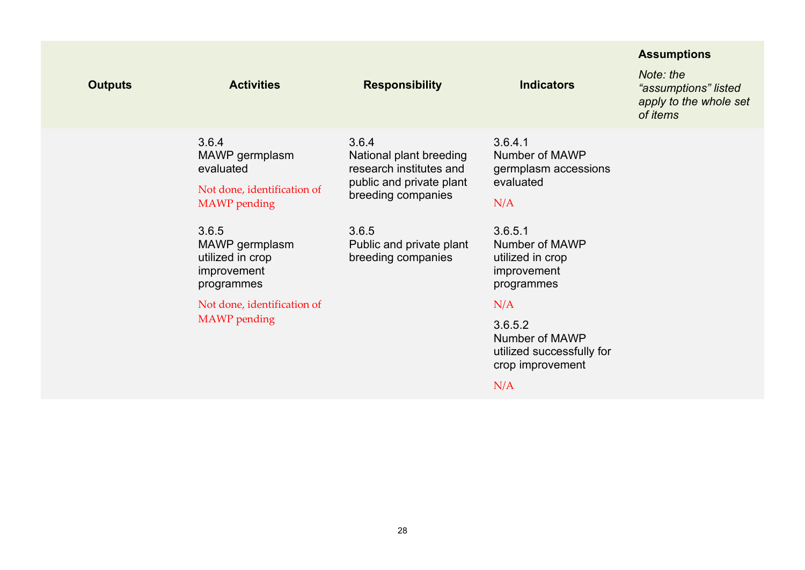| <b>Outputs</b> | <b>Activities</b>                                                                          | <b>Responsibility</b>                                                                                         | <b>Indicators</b>                                                                        | <b>Assumptions</b><br>Note: the<br>"assumptions" listed<br>apply to the whole set<br>of items |
|----------------|--------------------------------------------------------------------------------------------|---------------------------------------------------------------------------------------------------------------|------------------------------------------------------------------------------------------|-----------------------------------------------------------------------------------------------|
|                | 3.6.4<br>MAWP germplasm<br>evaluated<br>Not done, identification of<br><b>MAWP</b> pending | 3.6.4<br>National plant breeding<br>research institutes and<br>public and private plant<br>breeding companies | 3.6.4.1<br>Number of MAWP<br>germplasm accessions<br>evaluated<br>N/A                    |                                                                                               |
|                | 3.6.5<br>MAWP germplasm<br>utilized in crop<br>improvement<br>programmes                   | 3.6.5<br>Public and private plant<br>breeding companies                                                       | 3.6.5.1<br>Number of MAWP<br>utilized in crop<br>improvement<br>programmes               |                                                                                               |
|                | Not done, identification of<br><b>MAWP</b> pending                                         |                                                                                                               | N/A<br>3.6.5.2<br>Number of MAWP<br>utilized successfully for<br>crop improvement<br>N/A |                                                                                               |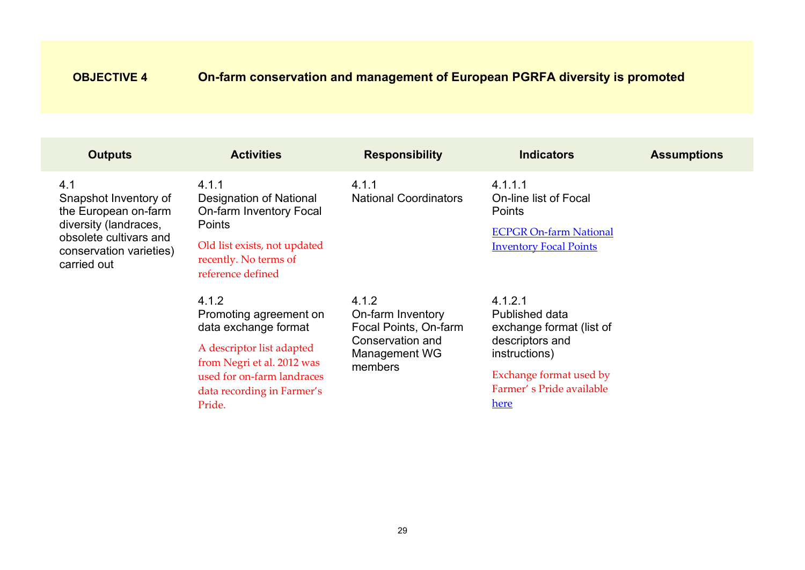# <span id="page-28-0"></span>**OBJECTIVE 4 On-farm conservation and management of European PGRFA diversity is promoted**

| <b>Outputs</b>                                                                                                                                    | <b>Activities</b>                                                                                                                                                                        | <b>Responsibility</b>                                                                               | <b>Indicators</b>                                                                                                                                        | <b>Assumptions</b> |
|---------------------------------------------------------------------------------------------------------------------------------------------------|------------------------------------------------------------------------------------------------------------------------------------------------------------------------------------------|-----------------------------------------------------------------------------------------------------|----------------------------------------------------------------------------------------------------------------------------------------------------------|--------------------|
| 4.1<br>Snapshot Inventory of<br>the European on-farm<br>diversity (landraces,<br>obsolete cultivars and<br>conservation varieties)<br>carried out | 4.1.1<br>Designation of National<br><b>On-farm Inventory Focal</b><br><b>Points</b><br>Old list exists, not updated<br>recently. No terms of<br>reference defined                        | 4.1.1<br><b>National Coordinators</b>                                                               | 4.1.1.1<br>On-line list of Focal<br>Points<br><b>ECPGR On-farm National</b><br><b>Inventory Focal Points</b>                                             |                    |
|                                                                                                                                                   | 4.1.2<br>Promoting agreement on<br>data exchange format<br>A descriptor list adapted<br>from Negri et al. 2012 was<br>used for on-farm landraces<br>data recording in Farmer's<br>Pride. | 4.1.2<br>On-farm Inventory<br>Focal Points, On-farm<br>Conservation and<br>Management WG<br>members | 4.1.2.1<br>Published data<br>exchange format (list of<br>descriptors and<br>instructions)<br>Exchange format used by<br>Farmer's Pride available<br>here |                    |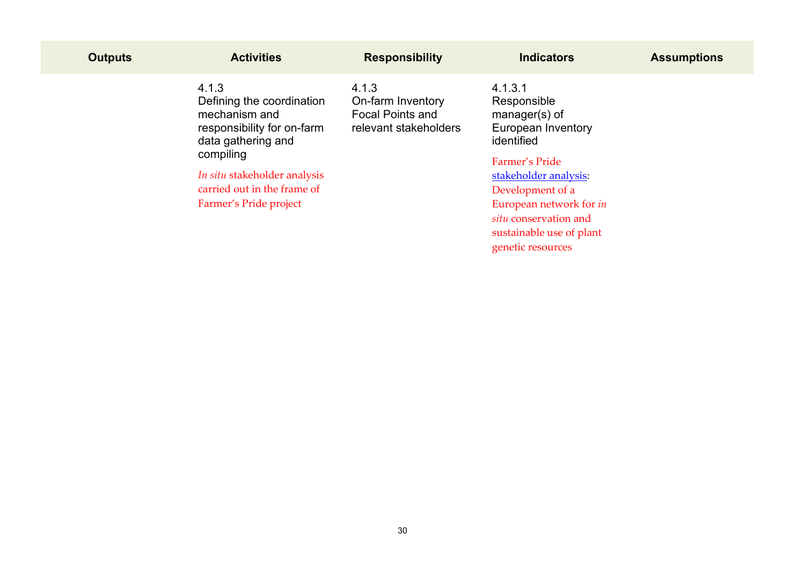| <b>Outputs</b> | <b>Activities</b>                                                                                                    | <b>Responsibility</b>                                                          | <b>Indicators</b>                                                                                                                                  | <b>Assumptions</b> |
|----------------|----------------------------------------------------------------------------------------------------------------------|--------------------------------------------------------------------------------|----------------------------------------------------------------------------------------------------------------------------------------------------|--------------------|
|                | 4.1.3<br>Defining the coordination<br>mechanism and<br>responsibility for on-farm<br>data gathering and<br>compiling | 4.1.3<br>On-farm Inventory<br><b>Focal Points and</b><br>relevant stakeholders | 4.1.3.1<br>Responsible<br>$m$ anager(s) of<br>European Inventory<br>identified                                                                     |                    |
|                | In situ stakeholder analysis<br>carried out in the frame of<br>Farmer's Pride project                                |                                                                                | Farmer's Pride<br>stakeholder analysis.<br>Development of a<br>European network for <i>in</i><br>situ conservation and<br>sustainable use of plant |                    |

genetic resources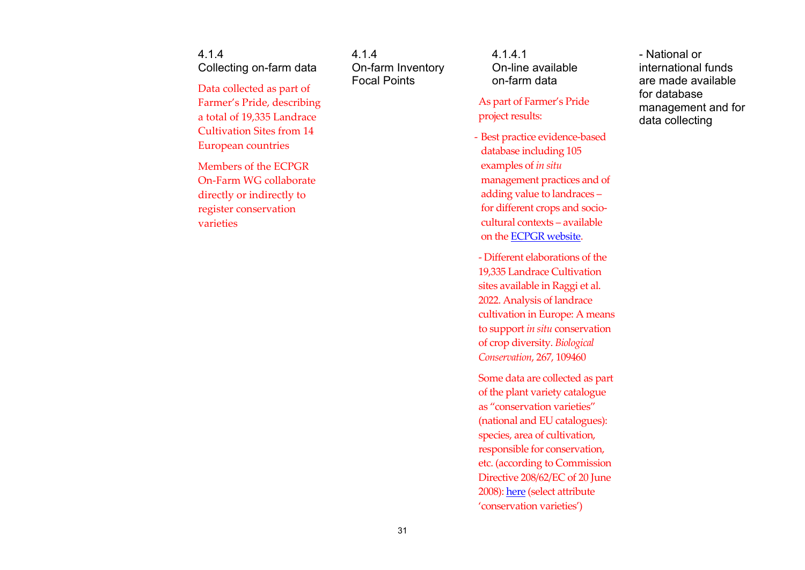4.1.4 Collecting on-farm data

Data collected as part of Farmer's Pride, describing a total of 19,335 Landrace Cultivation Sites from 14 European countries

Members of the ECPGR On-Farm WG collaborate directly or indirectly to register conservation varieties

4.1.4 On-farm Inventory Focal Points

4.1.4.1 On-line available on-farm data

As part of Farmer's Pride project results:

- Best practice evidence-based database including 105 examples of *in situ* management practices and of adding value to landraces – for different crops and sociocultural contexts – available on the [ECPGR website.](https://www.ecpgr.cgiar.org/in-situ-landraces-best-practice-evidence-based-database) 

- Different elaborations of the 19,335 Landrace Cultivation sites available in Raggi et al. 2022. Analysis of landrace cultivation in Europe: A means to support *in situ* conservation of crop diversity. *Biological Conservation*, 267, 109460

Some data are collected as part of the plant variety catalogue as "conservation varieties" (national and EU catalogues): species, area of cultivation, responsible for conservation, etc. (according to Commission Directive 208/62/EC of 20 June 2008)[: here](https://ec.europa.eu/food/plant/plant_propagation_material/plant_variety_catalogues_databases/search/public/index.cfm) (select attribute 'conservation varieties')

- National or international funds are made available for database management and for data collecting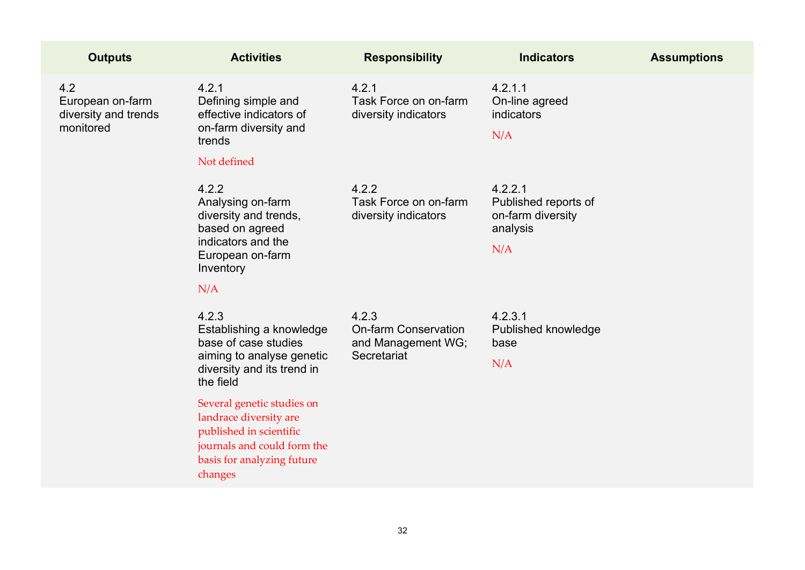| <b>Activities</b>                                                                                                                                       | <b>Responsibility</b>                                                     | <b>Indicators</b>                                                       | <b>Assumptions</b> |
|---------------------------------------------------------------------------------------------------------------------------------------------------------|---------------------------------------------------------------------------|-------------------------------------------------------------------------|--------------------|
| 4.2.1<br>Defining simple and<br>effective indicators of<br>on-farm diversity and<br>trends<br>Not defined                                               | 4.2.1<br>Task Force on on-farm<br>diversity indicators                    | 4.2.1.1<br>On-line agreed<br><b>indicators</b><br>N/A                   |                    |
| 4.2.2<br>Analysing on-farm<br>diversity and trends,<br>based on agreed<br>indicators and the<br>European on-farm<br>Inventory<br>N/A                    | 4.2.2<br>Task Force on on-farm<br>diversity indicators                    | 4.2.2.1<br>Published reports of<br>on-farm diversity<br>analysis<br>N/A |                    |
| 4.2.3<br>Establishing a knowledge<br>base of case studies<br>aiming to analyse genetic<br>diversity and its trend in<br>the field                       | 4.2.3<br><b>On-farm Conservation</b><br>and Management WG;<br>Secretariat | 4.2.3.1<br>Published knowledge<br>base<br>N/A                           |                    |
| Several genetic studies on<br>landrace diversity are<br>published in scientific<br>journals and could form the<br>basis for analyzing future<br>changes |                                                                           |                                                                         |                    |
|                                                                                                                                                         |                                                                           |                                                                         |                    |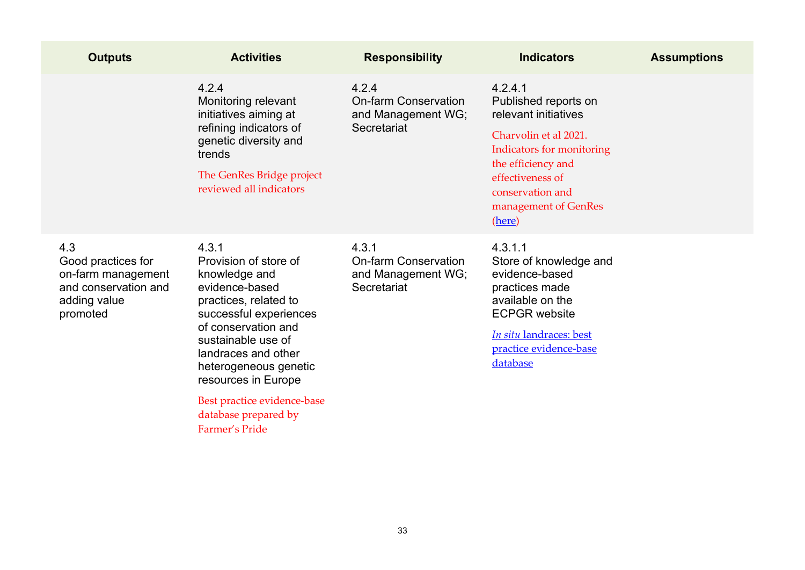| <b>Outputs</b>                                                                                      | <b>Activities</b>                                                                                                                                                                                                                                                                                                 | <b>Responsibility</b>                                                     | <b>Indicators</b>                                                                                                                                                                                             | <b>Assumptions</b> |
|-----------------------------------------------------------------------------------------------------|-------------------------------------------------------------------------------------------------------------------------------------------------------------------------------------------------------------------------------------------------------------------------------------------------------------------|---------------------------------------------------------------------------|---------------------------------------------------------------------------------------------------------------------------------------------------------------------------------------------------------------|--------------------|
|                                                                                                     | 4.2.4<br>Monitoring relevant<br>initiatives aiming at<br>refining indicators of<br>genetic diversity and<br>trends<br>The GenRes Bridge project<br>reviewed all indicators                                                                                                                                        | 4.2.4<br><b>On-farm Conservation</b><br>and Management WG;<br>Secretariat | 4.2.4.1<br>Published reports on<br>relevant initiatives<br>Charvolin et al 2021.<br>Indicators for monitoring<br>the efficiency and<br>effectiveness of<br>conservation and<br>management of GenRes<br>(here) |                    |
| 4.3<br>Good practices for<br>on-farm management<br>and conservation and<br>adding value<br>promoted | 4.3.1<br>Provision of store of<br>knowledge and<br>evidence-based<br>practices, related to<br>successful experiences<br>of conservation and<br>sustainable use of<br>landraces and other<br>heterogeneous genetic<br>resources in Europe<br>Best practice evidence-base<br>database prepared by<br>Farmer's Pride | 4.3.1<br><b>On-farm Conservation</b><br>and Management WG;<br>Secretariat | 4.3.1.1<br>Store of knowledge and<br>evidence-based<br>practices made<br>available on the<br><b>ECPGR</b> website<br>In situ landraces: best<br>practice evidence-base<br>database                            |                    |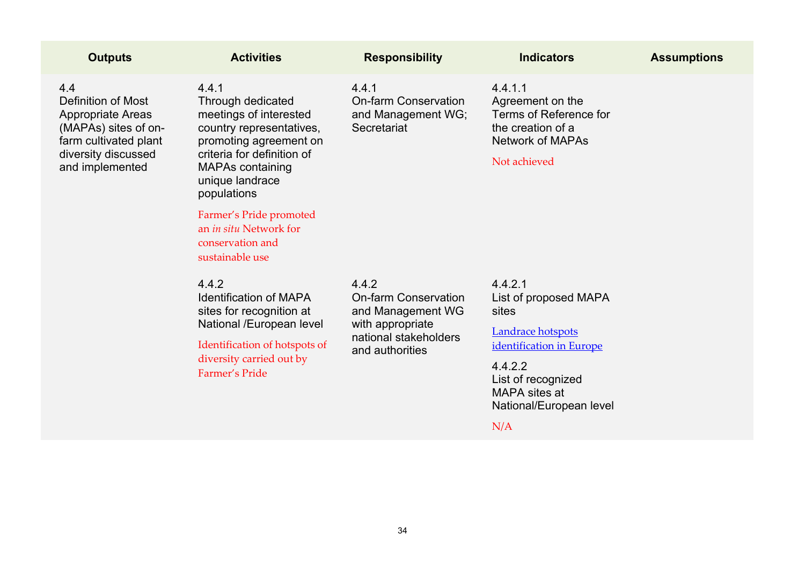| <b>Outputs</b>                                                                                                                                          | <b>Activities</b>                                                                                                                                                                                                                                                                                 | <b>Responsibility</b>                                                                                                     | <b>Indicators</b>                                                                                                                                                              | <b>Assumptions</b> |
|---------------------------------------------------------------------------------------------------------------------------------------------------------|---------------------------------------------------------------------------------------------------------------------------------------------------------------------------------------------------------------------------------------------------------------------------------------------------|---------------------------------------------------------------------------------------------------------------------------|--------------------------------------------------------------------------------------------------------------------------------------------------------------------------------|--------------------|
| 4.4<br><b>Definition of Most</b><br><b>Appropriate Areas</b><br>(MAPAs) sites of on-<br>farm cultivated plant<br>diversity discussed<br>and implemented | 4.4.1<br>Through dedicated<br>meetings of interested<br>country representatives,<br>promoting agreement on<br>criteria for definition of<br><b>MAPAs containing</b><br>unique landrace<br>populations<br>Farmer's Pride promoted<br>an in situ Network for<br>conservation and<br>sustainable use | 4.4.1<br><b>On-farm Conservation</b><br>and Management WG;<br>Secretariat                                                 | 4.4.1.1<br>Agreement on the<br><b>Terms of Reference for</b><br>the creation of a<br><b>Network of MAPAs</b><br>Not achieved                                                   |                    |
|                                                                                                                                                         | 4.4.2<br><b>Identification of MAPA</b><br>sites for recognition at<br>National /European level<br>Identification of hotspots of<br>diversity carried out by<br>Farmer's Pride                                                                                                                     | 4.4.2<br><b>On-farm Conservation</b><br>and Management WG<br>with appropriate<br>national stakeholders<br>and authorities | 4.4.2.1<br>List of proposed MAPA<br>sites<br>Landrace hotspots<br>identification in Europe<br>4.4.2.2<br>List of recognized<br>MAPA sites at<br>National/European level<br>N/A |                    |
|                                                                                                                                                         |                                                                                                                                                                                                                                                                                                   |                                                                                                                           |                                                                                                                                                                                |                    |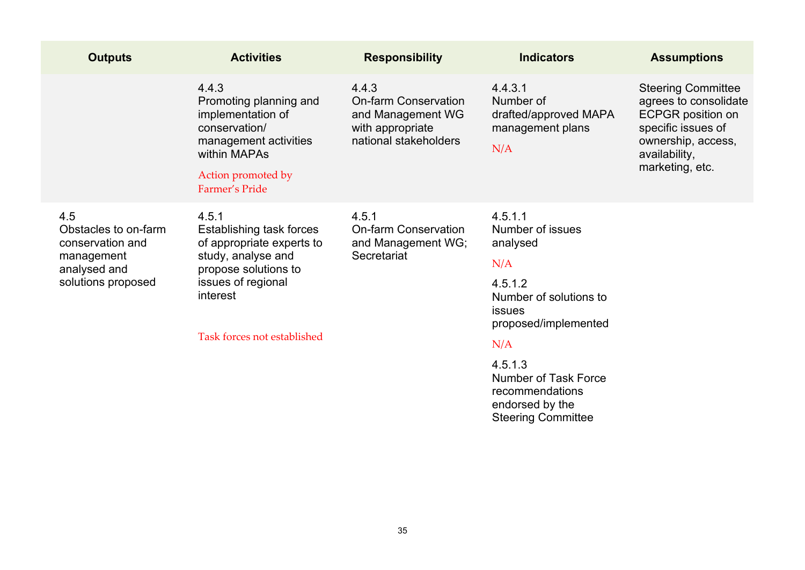| <b>Outputs</b>                                                                                      | <b>Activities</b>                                                                                                                                                             | <b>Responsibility</b>                                                                                  | <b>Indicators</b>                                                                                                                         | <b>Assumptions</b>                                                                                                                                             |
|-----------------------------------------------------------------------------------------------------|-------------------------------------------------------------------------------------------------------------------------------------------------------------------------------|--------------------------------------------------------------------------------------------------------|-------------------------------------------------------------------------------------------------------------------------------------------|----------------------------------------------------------------------------------------------------------------------------------------------------------------|
|                                                                                                     | 4.4.3<br>Promoting planning and<br>implementation of<br>conservation/<br>management activities<br>within MAPAs<br>Action promoted by<br>Farmer's Pride                        | 4.4.3<br><b>On-farm Conservation</b><br>and Management WG<br>with appropriate<br>national stakeholders | 4.4.3.1<br>Number of<br>drafted/approved MAPA<br>management plans<br>N/A                                                                  | <b>Steering Committee</b><br>agrees to consolidate<br><b>ECPGR</b> position on<br>specific issues of<br>ownership, access,<br>availability,<br>marketing, etc. |
| 4.5<br>Obstacles to on-farm<br>conservation and<br>management<br>analysed and<br>solutions proposed | 4.5.1<br>Establishing task forces<br>of appropriate experts to<br>study, analyse and<br>propose solutions to<br>issues of regional<br>interest<br>Task forces not established | 4.5.1<br><b>On-farm Conservation</b><br>and Management WG;<br>Secretariat                              | 4.5.1.1<br>Number of issues<br>analysed<br>N/A<br>4.5.1.2<br>Number of solutions to<br><b>issues</b><br>proposed/implemented<br>- - - - - |                                                                                                                                                                |

## N/A

4.5.1.3 Number of Task Force recommendations endorsed by the Steering Committee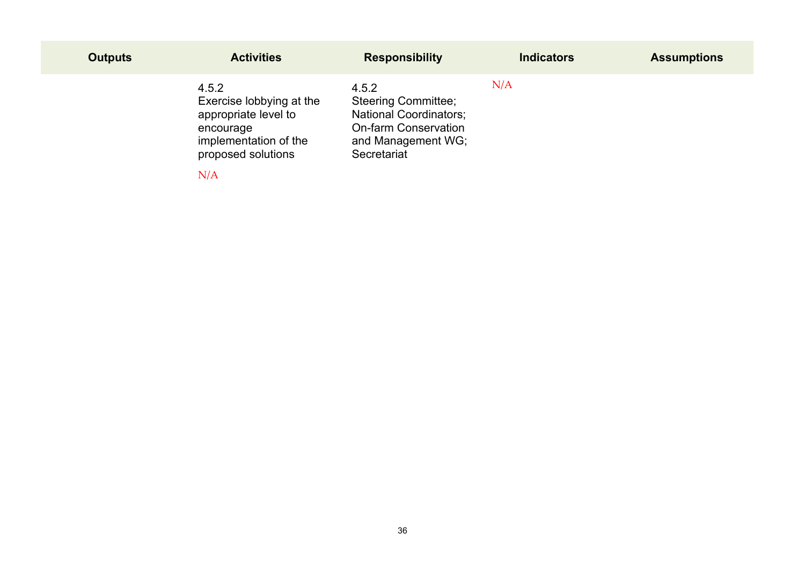| <b>Outputs</b> | <b>Activities</b>                                                                                                            | <b>Responsibility</b>                                                                                                                    | <b>Indicators</b> | <b>Assumptions</b> |
|----------------|------------------------------------------------------------------------------------------------------------------------------|------------------------------------------------------------------------------------------------------------------------------------------|-------------------|--------------------|
|                | 4.5.2<br>Exercise lobbying at the<br>appropriate level to<br>encourage<br>implementation of the<br>proposed solutions<br>N/A | 4.5.2<br><b>Steering Committee;</b><br><b>National Coordinators;</b><br><b>On-farm Conservation</b><br>and Management WG;<br>Secretariat | N/A               |                    |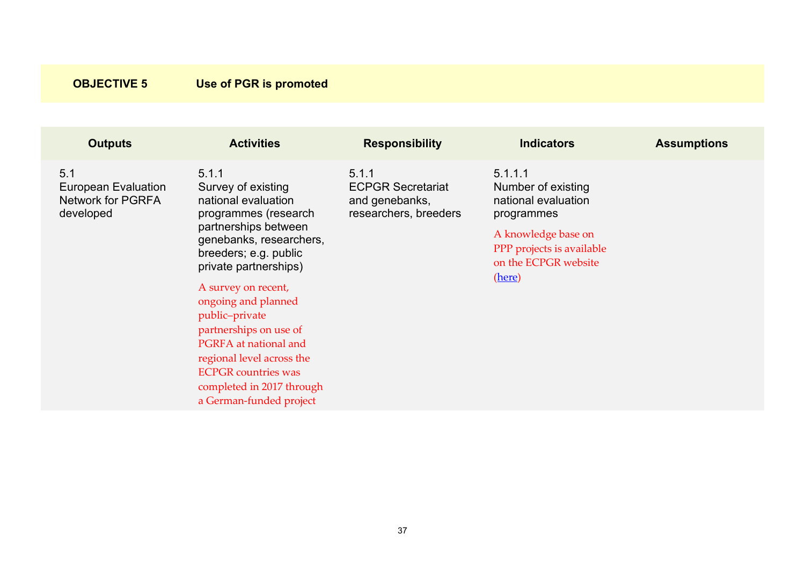<span id="page-36-0"></span>

| <b>Outputs</b>                                                      | <b>Activities</b>                                                                                                                                                                                                                                                                                                                                                                                                     | <b>Responsibility</b>                                                        | <b>Indicators</b>                                                                                                                                        | <b>Assumptions</b> |
|---------------------------------------------------------------------|-----------------------------------------------------------------------------------------------------------------------------------------------------------------------------------------------------------------------------------------------------------------------------------------------------------------------------------------------------------------------------------------------------------------------|------------------------------------------------------------------------------|----------------------------------------------------------------------------------------------------------------------------------------------------------|--------------------|
| 5.1<br>European Evaluation<br><b>Network for PGRFA</b><br>developed | 5.1.1<br>Survey of existing<br>national evaluation<br>programmes (research<br>partnerships between<br>genebanks, researchers,<br>breeders; e.g. public<br>private partnerships)<br>A survey on recent,<br>ongoing and planned<br>public-private<br>partnerships on use of<br>PGRFA at national and<br>regional level across the<br><b>ECPGR</b> countries was<br>completed in 2017 through<br>a German-funded project | 5.1.1<br><b>ECPGR Secretariat</b><br>and genebanks,<br>researchers, breeders | 5.1.1.1<br>Number of existing<br>national evaluation<br>programmes<br>A knowledge base on<br>PPP projects is available<br>on the ECPGR website<br>(here) |                    |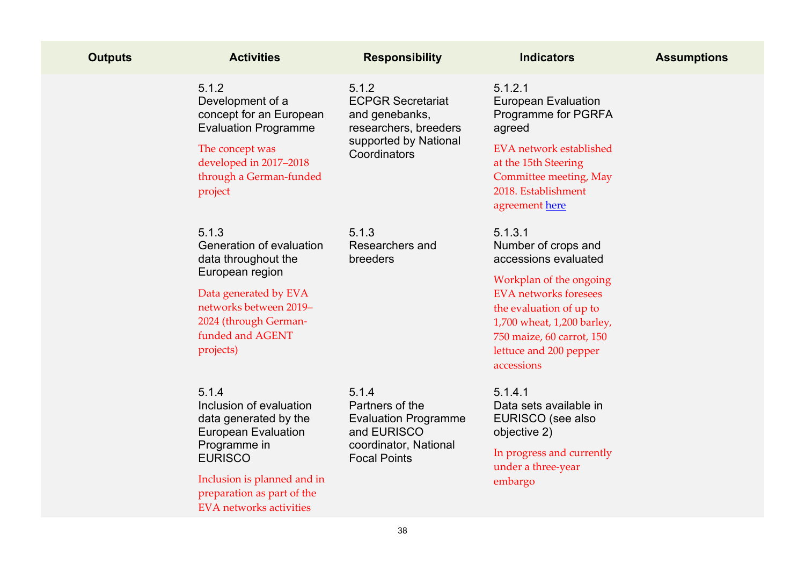| <b>Outputs</b> | <b>Activities</b>                                                                                                                                                                                                        | <b>Responsibility</b>                                                                                                  | <b>Indicators</b>                                                                                                                                                                                                                               | <b>Assumptions</b> |
|----------------|--------------------------------------------------------------------------------------------------------------------------------------------------------------------------------------------------------------------------|------------------------------------------------------------------------------------------------------------------------|-------------------------------------------------------------------------------------------------------------------------------------------------------------------------------------------------------------------------------------------------|--------------------|
|                | 5.1.2<br>Development of a<br>concept for an European<br><b>Evaluation Programme</b><br>The concept was<br>developed in 2017-2018<br>through a German-funded<br>project                                                   | 5.1.2<br><b>ECPGR Secretariat</b><br>and genebanks,<br>researchers, breeders<br>supported by National<br>Coordinators  | 5.1.2.1<br><b>European Evaluation</b><br>Programme for PGRFA<br>agreed<br><b>EVA</b> network established<br>at the 15th Steering<br>Committee meeting, May<br>2018. Establishment<br>agreement here                                             |                    |
|                | 5.1.3<br>Generation of evaluation<br>data throughout the<br>European region<br>Data generated by EVA<br>networks between 2019-<br>2024 (through German-<br>funded and AGENT<br>projects)                                 | 5.1.3<br>Researchers and<br>breeders                                                                                   | 5.1.3.1<br>Number of crops and<br>accessions evaluated<br>Workplan of the ongoing<br><b>EVA</b> networks foresees<br>the evaluation of up to<br>1,700 wheat, 1,200 barley,<br>750 maize, 60 carrot, 150<br>lettuce and 200 pepper<br>accessions |                    |
|                | 5.1.4<br>Inclusion of evaluation<br>data generated by the<br><b>European Evaluation</b><br>Programme in<br><b>EURISCO</b><br>Inclusion is planned and in<br>preparation as part of the<br><b>EVA</b> networks activities | 5.1.4<br>Partners of the<br><b>Evaluation Programme</b><br>and EURISCO<br>coordinator, National<br><b>Focal Points</b> | 5.1.4.1<br>Data sets available in<br>EURISCO (see also<br>objective 2)<br>In progress and currently<br>under a three-year<br>embargo                                                                                                            |                    |
|                |                                                                                                                                                                                                                          | 38                                                                                                                     |                                                                                                                                                                                                                                                 |                    |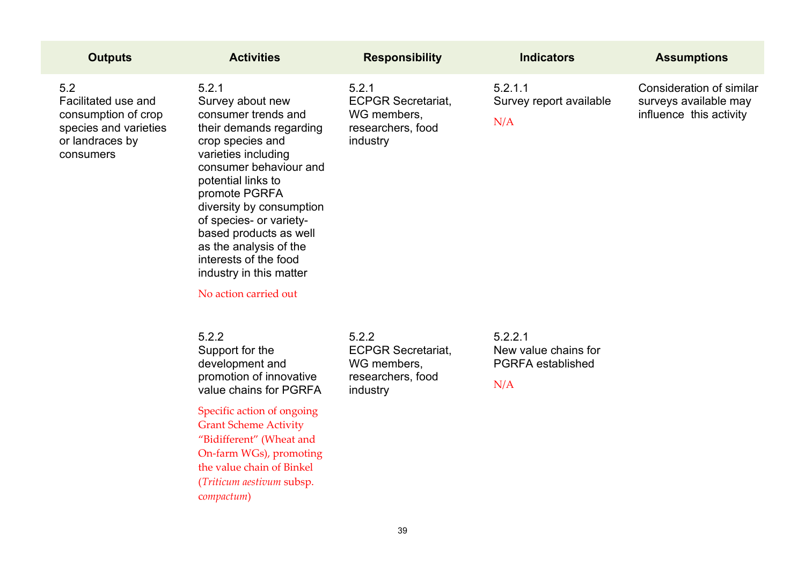| <b>Outputs</b>                                                                                             | <b>Activities</b>                                                                                                                                                                                                                                                                                                                                                               | <b>Responsibility</b>                                                              | <b>Indicators</b>                                                  | <b>Assumptions</b>                                                                  |  |  |
|------------------------------------------------------------------------------------------------------------|---------------------------------------------------------------------------------------------------------------------------------------------------------------------------------------------------------------------------------------------------------------------------------------------------------------------------------------------------------------------------------|------------------------------------------------------------------------------------|--------------------------------------------------------------------|-------------------------------------------------------------------------------------|--|--|
| 5.2<br>Facilitated use and<br>consumption of crop<br>species and varieties<br>or landraces by<br>consumers | 5.2.1<br>Survey about new<br>consumer trends and<br>their demands regarding<br>crop species and<br>varieties including<br>consumer behaviour and<br>potential links to<br>promote PGRFA<br>diversity by consumption<br>of species- or variety-<br>based products as well<br>as the analysis of the<br>interests of the food<br>industry in this matter<br>No action carried out | 5.2.1<br><b>ECPGR Secretariat,</b><br>WG members,<br>researchers, food<br>industry | 5.2.1.1<br>Survey report available<br>N/A                          | <b>Consideration of similar</b><br>surveys available may<br>influence this activity |  |  |
|                                                                                                            | 5.2.2<br>Support for the<br>development and<br>promotion of innovative<br>value chains for PGRFA<br>Specific action of ongoing<br><b>Grant Scheme Activity</b><br>"Bidifferent" (Wheat and<br>On-farm WGs), promoting<br>the value chain of Binkel<br>(Triticum aestivum subsp.<br>compactum)                                                                                   | 5.2.2<br><b>ECPGR Secretariat,</b><br>WG members,<br>researchers, food<br>industry | 5.2.2.1<br>New value chains for<br><b>PGRFA</b> established<br>N/A |                                                                                     |  |  |
| 39                                                                                                         |                                                                                                                                                                                                                                                                                                                                                                                 |                                                                                    |                                                                    |                                                                                     |  |  |